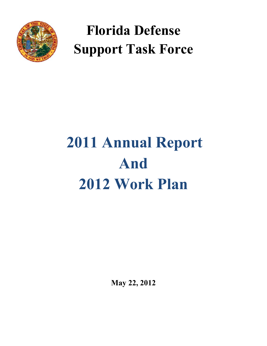

# **Florida Defense Support Task Force**

# **2011 Annual Report And 2012 Work Plan**

**May 22, 2012**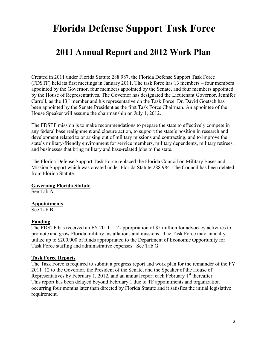# **Florida Defense Support Task Force**

# **2011 Annual Report and 2012 Work Plan**

Created in 2011 under Florida Statute 288.987, the Florida Defense Support Task Force (FDSTF) held its first meetings in January 2011. The task force has 13 members – four members appointed by the Governor, four members appointed by the Senate, and four members appointed by the House of Representatives. The Governor has designated the Lieutenant Governor, Jennifer Carroll, as the 13<sup>th</sup> member and his representative on the Task Force. Dr. David Goetsch has been appointed by the Senate President as the first Task Force Chairman. An appointee of the House Speaker will assume the chairmanship on July 1, 2012.

The FDSTF mission is to make recommendations to prepare the state to effectively compete in any federal base realignment and closure action, to support the state's position in research and development related to or arising out of military missions and contracting, and to improve the state's military-friendly environment for service members, military dependents, military retirees, and businesses that bring military and base-related jobs to the state.

The Florida Defense Support Task Force replaced the Florida Council on Military Bases and Mission Support which was created under Florida Statute 288.984. The Council has been deleted from Florida Statute.

#### **Governing Florida Statute**

See Tab A.

#### **Appointments**

See Tab B.

#### **Funding**

The FDSTF has received an FY 2011 –12 appropriation of \$5 million for advocacy activities to promote and grow Florida military installations and missions. The Task Force may annually utilize up to \$200,000 of funds appropriated to the Department of Economic Opportunity for Task Force staffing and administrative expenses. See Tab G.

#### **Task Force Reports**

The Task Force is required to submit a progress report and work plan for the remainder of the FY 2011–12 to the Governor, the President of the Senate, and the Speaker of the House of Representatives by February 1, 2012, and an annual report each February  $1<sup>st</sup>$  thereafter. This report has been delayed beyond February 1 due to TF appointments and organization occurring four months later than directed by Florida Statute and it satisfies the initial legislative requirement.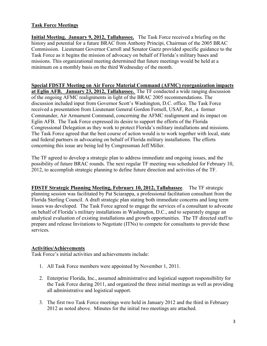### **Task Force Meetings**

**Initial Meeting. January 9, 2012, Tallahassee.** The Task Force received a briefing on the history and potential for a future BRAC from Anthony Principi, Chairman of the 2005 BRAC Commission. Lieutenant Governor Carroll and Senator Gaetz provided specific guidance to the Task Force as it begins the mission of advocacy on behalf of Florida's military bases and missions. This organizational meeting determined that future meetings would be held at a minimum on a monthly basis on the third Wednesday of the month.

# **Special FDSTF Meeting on Air Force Material Command (AFMC) reorganization impacts at Eglin AFB. January 23, 2012, Tallahassee.** The TF conducted a wide ranging discussion

of the ongoing AFMC realignments in light of the BRAC 2005 recommendations. The discussion included input from Governor Scott's Washington, D.C. office. The Task Force received a presentation from Lieutenant General Gordon Fornell, USAF, Ret., a former Commander, Air Armament Command, concerning the AFMC realignment and its impact on Eglin AFB. The Task Force expressed its desire to support the efforts of the Florida Congressional Delegation as they work to protect Florida's military installations and missions. The Task Force agreed that the best course of action would is to work together with local, state and federal partners in advocating on behalf of Florida military installations. The efforts concerning this issue are being led by Congressman Jeff Miller.

The TF agreed to develop a strategic plan to address immediate and ongoing issues, and the possibility of future BRAC rounds. The next regular TF meeting was scheduled for February 10, 2012, to accomplish strategic planning to define future direction and activities of the TF.

**FDSTF Strategic Planning Meeting, February 10, 2012, Tallahassee**. The TF strategic planning session was facilitated by Pat Sciarappa, a professional facilitation consultant from the Florida Sterling Council. A draft strategic plan stating both immediate concerns and long term issues was developed. The Task Force agreed to engage the services of a consultant to advocate on behalf of Florida's military installations in Washington, D.C., and to separately engage an analytical evaluation of existing installations and growth opportunities. The TF directed staff to prepare and release Invitations to Negotiate (ITNs) to compete for consultants to provide these services.

# **Activities/Achievements**

Task Force's initial activities and achievements include:

- 1. All Task Force members were appointed by November 1, 2011.
- 2. Enterprise Florida, Inc., assumed administrative and logistical support responsibility for the Task Force during 2011, and organized the three initial meetings as well as providing all administrative and logistical support.
- 3. The first two Task Force meetings were held in January 2012 and the third in February 2012 as noted above. Minutes for the initial two meetings are attached.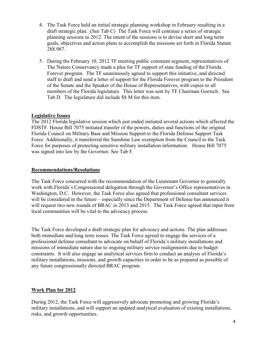- 4. The Task Force held an initial strategic planning workshop in February resulting in a draft strategic plan. (See Tab C) The Task Force will continue a series of strategic planning sessions in 2012. The intent of the sessions is to devise short and long term goals, objectives and action plans to accomplish the missions set forth in Florida Statute 288.987.
- 5. During the February 10, 2012 TF meeting public comment segment, representatives of The Nature Conservancy made a plea for TF support of state funding of the Florida Forever program. The TF unanimously agreed to support this initiative, and directed staff to draft and send a letter of support for the Florida Forever program to the President of the Senate and the Speaker of the House of Representatives, with copies to all members of the Florida legislature. This letter was sent by TF Chairman Goetsch. See Tab D. The legislature did include \$8 M for this item.

#### **Legislative Issues**

The 2012 Florida legislative session which just ended initiated several actions which affected the FDSTF. House Bill 7075 initiated transfer of the powers, duties and functions of the original Florida Council on Military Base and Mission Support to the Florida Defense Support Task Force. Additionally, it transferred the Sunshine Law exemption from the Council to the Task Force for purposes of protecting sensitive military installation information. House Bill 7075 was signed into law by the Governor. See Tab F.

#### **Recommendations/Resolutions**

The Task Force concurred with the recommendation of the Lieutenant Governor to generally work with Florida's Congressional delegation through the Governor's Office representatives in Washington, D.C. However, the Task Force also agreed that professional consultant services will be considered in the future – especially since the Department of Defense has announced it will request two new rounds of BRAC in 2013 and 2015. The Task Force agreed that input from local communities will be vital to the advocacy process.

The Task Force developed a draft strategic plan for advocacy and actions. The plan addresses both immediate and long term issues. The Task Force agreed to engage the services of a professional defense consultant to advocate on behalf of Florida's military installations and missions of immediate nature due to ongoing military service realignments due to budget constraints. It will also engage an analytical services firm to conduct an analysis of Florida's military installations, missions, and growth capacities in order to be as prepared as possible of any future congressionally directed BRAC program.

#### **Work Plan for 2012**

During 2012, the Task Force will aggressively advocate promoting and growing Florida's military installations, and will support an updated analytical evaluation of existing installations, risks, and growth opportunities.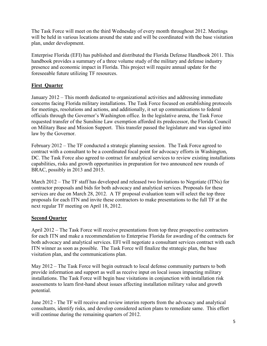The Task Force will meet on the third Wednesday of every month throughout 2012. Meetings will be held in various locations around the state and will be coordinated with the base visitation plan, under development.

Enterprise Florida (EFI) has published and distributed the Florida Defense Handbook 2011. This handbook provides a summary of a three volume study of the military and defense industry presence and economic impact in Florida. This project will require annual update for the foreseeable future utilizing TF resources.

# **First Quarter**

January 2012 – This month dedicated to organizational activities and addressing immediate concerns facing Florida military installations. The Task Force focused on establishing protocols for meetings, resolutions and actions, and additionally, it set up communications to federal officials through the Governor's Washington office. In the legislative arena, the Task Force requested transfer of the Sunshine Law exemption afforded its predecessor, the Florida Council on Military Base and Mission Support. This transfer passed the legislature and was signed into law by the Governor.

February 2012 – The TF conducted a strategic planning session. The Task Force agreed to contract with a consultant to be a coordinated focal point for advocacy efforts in Washington, DC. The Task Force also agreed to contract for analytical services to review existing installations capabilities, risks and growth opportunities in preparation for two announced new rounds of BRAC, possibly in 2013 and 2015.

March 2012 – The TF staff has developed and released two Invitations to Negotiate (ITNs) for contractor proposals and bids for both advocacy and analytical services. Proposals for these services are due on March 28, 2012. A TF proposal evaluation team will select the top three proposals for each ITN and invite these contractors to make presentations to the full TF at the next regular TF meeting on April 18, 2012.

# **Second Quarter**

April 2012 – The Task Force will receive presentations from top three prospective contractors for each ITN and make a recommendation to Enterprise Florida for awarding of the contracts for both advocacy and analytical services. EFI will negotiate a consultant services contract with each ITN winner as soon as possible. The Task Force will finalize the strategic plan, the base visitation plan, and the communications plan.

May 2012 – The Task Force will begin outreach to local defense community partners to both provide information and support as well as receive input on local issues impacting military installations. The Task Force will begin base visitations in conjunction with installation risk assessments to learn first-hand about issues affecting installation military value and growth potential.

June 2012 - The TF will receive and review interim reports from the advocacy and analytical consultants, identify risks, and develop considered action plans to remediate same. This effort will continue during the remaining quarters of 2012.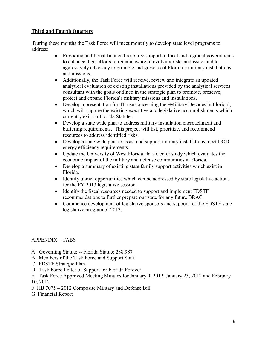### **Third and Fourth Quarters**

During these months the Task Force will meet monthly to develop state level programs to address:

- Providing additional financial resource support to local and regional governments to enhance their efforts to remain aware of evolving risks and issue, and to aggressively advocacy to promote and grow local Florida's military installations and missions.
- Additionally, the Task Force will receive, review and integrate an updated analytical evaluation of existing installations provided by the analytical services consultant with the goals outlined in the strategic plan to promote, preserve, protect and expand Florida's military missions and installations.
- Develop a presentation for TF use concerning the -Military Decades in Florida', which will capture the existing executive and legislative accomplishments which currently exist in Florida Statute.
- Develop a state wide plan to address military installation encroachment and buffering requirements. This project will list, prioritize, and recommend resources to address identified risks.
- Develop a state wide plan to assist and support military installations meet DOD energy efficiency requirements.
- Update the University of West Florida Haas Center study which evaluates the economic impact of the military and defense communities in Florida.
- Develop a summary of existing state family support activities which exist in Florida.
- Identify unmet opportunities which can be addressed by state legislative actions for the FY 2013 legislative session.
- Identify the fiscal resources needed to support and implement FDSTF recommendations to further prepare our state for any future BRAC.
- Commence development of legislative sponsors and support for the FDSTF state legislative program of 2013.

# APPENDIX – TABS

- A Governing Statute -- Florida Statute 288.987
- B Members of the Task Force and Support Staff
- C FDSTF Strategic Plan
- D Task Force Letter of Support for Florida Forever
- E Task Force Approved Meeting Minutes for January 9, 2012, January 23, 2012 and February 10, 2012
- F HB 7075 2012 Composite Military and Defense Bill
- G Financial Report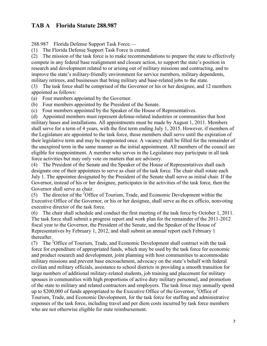# **TAB A Florida Statute 288.987**

288.987 Florida Defense Support Task Force.—

(1) The Florida Defense Support Task Force is created.

(2) The mission of the task force is to make recommendations to prepare the state to effectively compete in any federal base realignment and closure action, to support the state's position in research and development related to or arising out of military missions and contracting, and to improve the state's military-friendly environment for service members, military dependents, military retirees, and businesses that bring military and base-related jobs to the state.

(3) The task force shall be comprised of the Governor or his or her designee, and 12 members appointed as follows:

(a) Four members appointed by the Governor.

(b) Four members appointed by the President of the Senate.

(c) Four members appointed by the Speaker of the House of Representatives.

(d) Appointed members must represent defense-related industries or communities that host military bases and installations. All appointments must be made by August 1, 2011. Members shall serve for a term of 4 years, with the first term ending July 1, 2015. However, if members of the Legislature are appointed to the task force, those members shall serve until the expiration of their legislative term and may be reappointed once. A vacancy shall be filled for the remainder of the unexpired term in the same manner as the initial appointment. All members of the council are eligible for reappointment. A member who serves in the Legislature may participate in all task force activities but may only vote on matters that are advisory.

(4) The President of the Senate and the Speaker of the House of Representatives shall each designate one of their appointees to serve as chair of the task force. The chair shall rotate each July 1. The appointee designated by the President of the Senate shall serve as initial chair. If the Governor, instead of his or her designee, participates in the activities of the task force, then the Governor shall serve as chair.

(5) The director of the <sup>2</sup>Office of Tourism, Trade, and Economic Development within the Executive Office of the Governor, or his or her designee, shall serve as the ex officio, nonvoting executive director of the task force.

(6) The chair shall schedule and conduct the first meeting of the task force by October 1, 2011. The task force shall submit a progress report and work plan for the remainder of the 2011-2012 fiscal year to the Governor, the President of the Senate, and the Speaker of the House of Representatives by February 1, 2012, and shall submit an annual report each February 1 thereafter.

(7) The <sup>2</sup>Office of Tourism, Trade, and Economic Development shall contract with the task force for expenditure of appropriated funds, which may be used by the task force for economic and product research and development, joint planning with host communities to accommodate military missions and prevent base encroachment, advocacy on the state's behalf with federal civilian and military officials, assistance to school districts in providing a smooth transition for large numbers of additional military-related students, job training and placement for military spouses in communities with high proportions of active duty military personnel, and promotion of the state to military and related contractors and employers. The task force may annually spend up to \$200,000 of funds appropriated to the Executive Office of the Governor,  $^{2}$ Office of Tourism, Trade, and Economic Development, for the task force for staffing and administrative expenses of the task force, including travel and per diem costs incurred by task force members who are not otherwise eligible for state reimbursement.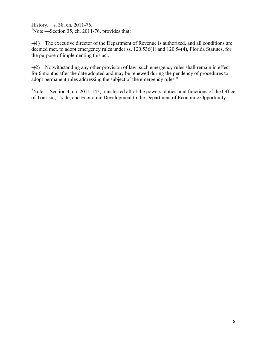History.—s. 38, ch. 2011-76. <sup>1</sup>Note.—Section 35, ch. 2011-76, provides that:

―(1) The executive director of the Department of Revenue is authorized, and all conditions are deemed met, to adopt emergency rules under ss. 120.536(1) and 120.54(4), Florida Statutes, for the purpose of implementing this act.

―(2) Notwithstanding any other provision of law, such emergency rules shall remain in effect for 6 months after the date adopted and may be renewed during the pendency of procedures to adopt permanent rules addressing the subject of the emergency rules."

 $2$ Note.—Section 4, ch. 2011-142, transferred all of the powers, duties, and functions of the Office of Tourism, Trade, and Economic Development to the Department of Economic Opportunity.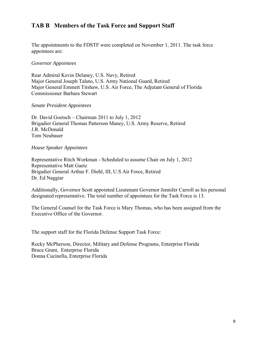# **TAB B Members of the Task Force and Support Staff**

The appointments to the FDSTF were completed on November 1, 2011. The task force appointees are:

#### *Governor Appointees*

Rear Admiral Kevin Delaney, U.S. Navy, Retired Major General Joseph Taluto, U.S. Army National Guard, Retired Major General Emmett Titshaw, U.S. Air Force, The Adjutant General of Florida Commissioner Barbara Stewart

#### *Senate President Appointees*

Dr. David Goetsch – Chairman 2011 to July 1, 2012 Brigadier General Thomas Patterson Maney, U.S. Army Reserve, Retired J.R. McDonald Tom Neubauer

#### *House Speaker Appointees*

Representative Ritch Workman - Scheduled to assume Chair on July 1, 2012 Representative Matt Gaetz Brigadier General Arthur F. Diehl, III, U.S Air Force, Retired Dr. Ed Naggiar

Additionally, Governor Scott appointed Lieutenant Governor Jennifer Carroll as his personal designated representative. The total number of appointees for the Task Force is 13.

The General Counsel for the Task Force is Mary Thomas, who has been assigned from the Executive Office of the Governor.

The support staff for the Florida Defense Support Task Force:

Rocky McPherson, Director, Military and Defense Programs, Enterprise Florida Bruce Grant, Enterprise Florida Donna Cucinella, Enterprise Florida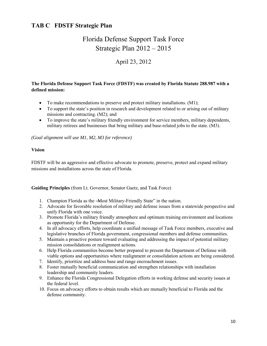# **TAB C FDSTF Strategic Plan**

# Florida Defense Support Task Force Strategic Plan 2012 – 2015

# April 23, 2012

#### **The Florida Defense Support Task Force (FDSTF) was created by Florida Statute 288.987 with a defined mission:**

- To make recommendations to preserve and protect military installations. (M1);
- To support the state's position in research and development related to or arising out of military missions and contracting. (M2); and
- To improve the state's military friendly environment for service members, military dependents, military retirees and businesses that bring military and base-related jobs to the state. (M3).

*(Goal alignment will use M1, M2, M3 for reference)* 

#### **Vision**

FDSTF will be an aggressive and effective advocate to promote, preserve, protect and expand military missions and installations across the state of Florida.

**Guiding Principles** (from Lt. Governor, Senator Gaetz, and Task Force)

- 1. Champion Florida as the -Most Military-Friendly State" in the nation.
- 2. Advocate for favorable resolution of military and defense issues from a statewide perspective and unify Florida with one voice.
- 3. Promote Florida's military friendly atmosphere and optimum training environment and locations as opportunity for the Department of Defense.
- 4. In all advocacy efforts, help coordinate a unified message of Task Force members, executive and legislative branches of Florida government, congressional members and defense communities.
- 5. Maintain a proactive posture toward evaluating and addressing the impact of potential military mission consolidations or realignment actions.
- 6. Help Florida communities become better prepared to present the Department of Defense with viable options and opportunities where realignment or consolidation actions are being considered.
- 7. Identify, prioritize and address base and range encroachment issues.
- 8. Foster mutually beneficial communication and strengthen relationships with installation leadership and community leaders.
- 9. Enhance the Florida Congressional Delegation efforts in working defense and security issues at the federal level.
- 10. Focus on advocacy efforts to obtain results which are mutually beneficial to Florida and the defense community.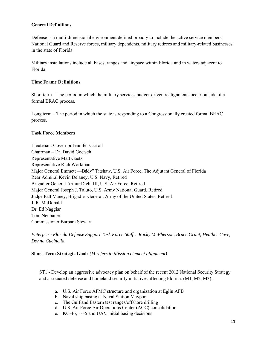#### **General Definitions**

Defense is a multi-dimensional environment defined broadly to include the active service members, National Guard and Reserve forces, military dependents, military retirees and military-related businesses in the state of Florida.

Military installations include all bases, ranges and airspace within Florida and in waters adjacent to Florida.

#### **Time Frame Definitions**

Short term – The period in which the military services budget-driven realignments occur outside of a formal BRAC process.

Long term – The period in which the state is responding to a Congressionally created formal BRAC process.

#### **Task Force Members**

Lieutenant Governor Jennifer Carroll Chairman – Dr. David Goetsch Representative Matt Gaetz Representative Rich Workman Major General Emmett —Bddy" Titshaw, U.S. Air Force, The Adjutant General of Florida Rear Admiral Kevin Delaney, U.S. Navy, Retired Brigadier General Arthur Diehl III, U.S. Air Force, Retired Major General Joseph J. Taluto, U.S. Army National Guard, Retired Judge Patt Maney, Brigadier General, Army of the United States, Retired J. R. McDonald Dr. Ed Naggiar Tom Neubauer Commissioner Barbara Stewart

*Enterprise Florida Defense Support Task Force Staff : Rocky McPherson, Bruce Grant, Heather Cave, Donna Cucinella.* 

**Short-Term Strategic Goals** *(M refers to Mission element alignment)*

ST1 - Develop an aggressive advocacy plan on behalf of the recent 2012 National Security Strategy and associated defense and homeland security initiatives affecting Florida. (M1, M2, M3).

- a. U.S. Air Force AFMC structure and organization at Eglin AFB
- b. Naval ship basing at Naval Station Mayport
- c. The Gulf and Eastern test ranges/offshore drilling
- d. U.S. Air Force Air Operations Center (AOC) consolidation
- e. KC-46, F-35 and UAV initial basing decisions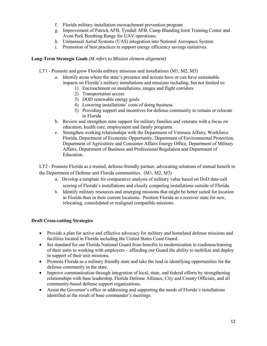- f. Florida military installation encroachment prevention program
- g. Improvement of Patrick AFB, Tyndall AFB, Camp Blanding Joint Training Center and Avon Park Bombing Range for UAV operations.
- h. Unmanned Aerial Systems (UAS) integration into National Aerospace System
- i. Promotion of best practices in support energy efficiency savings initiatives.

#### **Long-Term Strategic Goals** *(M refers to Mission element alignment)*

- LT1 Promote and grow Florida military missions and installations (M1, M2, M3)
	- a. Identify areas where the state's presence and actions have or can have sustainable impacts on Florida's military installations and missions including, but not limited to:
		- 1) Encroachment on installations, ranges and flight corridors
		- 2) Transportation access
		- 3) DOD renewable energy goals
		- 4) Lowering installations' costs of doing business
		- 5) Providing support and incentives for defense community to remain or relocate in Florida
	- b. Review and strengthen state support for military families and veterans with a focus on education, health care, employment and family programs.
	- c. Strengthen working relationships with the Department of Veterans Affairs, Workforce Florida, Department of Economic Opportunity, Department of Environmental Protection, Department of Agriculture and Consumer Affairs Energy Office, Department of Military Affairs, Department of Business and Professional Regulation and Department of Education.

LT2 - Promote Florida as a trusted, defense-friendly partner, advocating solutions of mutual benefit to the Department of Defense and Florida communities. (M1, M2, M3)

- a. Develop a template for comparative analysis of military value based on DoD data-call scoring of Florida's installations and closely competing installations outside of Florida.
- b. Identify military resources and emerging missions that might be better suited for location in Florida than in their current locations. Position Florida as a receiver state for new, relocating, consolidated or realigned compatible missions.

#### **Draft Cross-cutting Strategies**

- Provide a plan for active and effective advocacy for military and homeland defense missions and facilities located in Florida including the United States Coast Guard.
- Set standard for our Florida National Guard from benefits to modernization to readiness/training of their units to working with employers – affording our Guard the ability to mobilize and deploy in support of their unit missions.
- Promote Florida as a military friendly state and take the lead in identifying opportunities for the defense community in the state.
- Improve communication through integration of local, state, and federal efforts by strengthening relationships with base leadership, Florida Defense Alliance, City and County Officials, and all community-based defense support organizations.
- Assist the Governor's office in addressing and supporting the needs of Florida's installations identified as the result of base commander's meetings.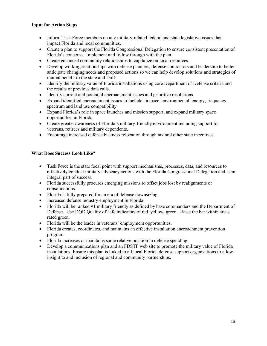#### **Input for Action Steps**

- Inform Task Force members on any military-related federal and state legislative issues that impact Florida and local communities.
- Create a plan to support the Florida Congressional Delegation to ensure consistent presentation of Florida's concerns. Implement and follow through with the plan.
- Create enhanced community relationships to capitalize on local resources.
- Develop working relationships with defense planners, defense contractors and leadership to better anticipate changing needs and proposed actions so we can help develop solutions and strategies of mutual benefit to the state and DoD.
- Identify the military value of Florida installations using core Department of Defense criteria and the results of previous data calls.
- Identify current and potential encroachment issues and prioritize resolutions.
- Expand identified encroachment issues to include airspace, environmental, energy, frequency spectrum and land use compatibility
- Expand Florida's role in space launches and mission support, and expand military space opportunities in Florida.
- Create greater awareness of Florida's military-friendly environment including support for veterans, retirees and military dependents.
- Encourage increased defense business relocation through tax and other state incentives.

#### **What Does Success Look Like?**

- Task Force is the state focal point with support mechanisms, processes, data, and resources to effectively conduct military advocacy actions with the Florida Congressional Delegation and is an integral part of success.
- Florida successfully procures emerging missions to offset jobs lost by realignments or consolidations.
- Florida is fully prepared for an era of defense downsizing.
- Increased defense industry employment in Florida.
- Florida will be ranked #1 military friendly as defined by base commanders and the Department of Defense. Use DOD Quality of Life indicators of red, yellow, green. Raise the bar within areas rated green.
- Florida will be the leader in veterans' employment opportunities.
- Florida creates, coordinates, and maintains an effective installation encroachment prevention program.
- Florida increases or maintains same relative position in defense spending.
- Develop a communications plan and an FDSTF web site to promote the military value of Florida installations. Ensure this plan is linked to all local Florida defense support organizations to allow insight to and inclusion of regional and community partnerships.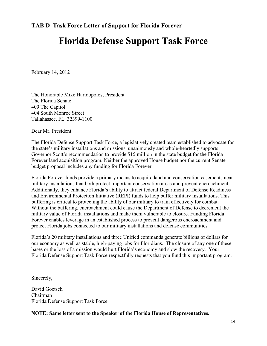# **Florida Defense Support Task Force**

February 14, 2012

The Honorable Mike Haridopolos, President The Florida Senate 409 The Capitol 404 South Monroe Street Tallahassee, FL 32399-1100

Dear Mr. President:

The Florida Defense Support Task Force, a legislatively created team established to advocate for the state's military installations and missions, unanimously and whole-heartedly supports Governor Scott's recommendation to provide \$15 million in the state budget for the Florida Forever land acquisition program. Neither the approved House budget nor the current Senate budget proposal includes any funding for Florida Forever.

Florida Forever funds provide a primary means to acquire land and conservation easements near military installations that both protect important conservation areas and prevent encroachment. Additionally, they enhance Florida's ability to attract federal Department of Defense Readiness and Environmental Protection Initiative (REPI) funds to help buffer military installations. This buffering is critical to protecting the ability of our military to train effectively for combat. Without the buffering, encroachment could cause the Department of Defense to decrement the military value of Florida installations and make them vulnerable to closure. Funding Florida Forever enables leverage in an established process to prevent dangerous encroachment and protect Florida jobs connected to our military installations and defense communities.

Florida's 20 military installations and three Unified commands generate billions of dollars for our economy as well as stable, high-paying jobs for Floridians. The closure of any one of these bases or the loss of a mission would hurt Florida's economy and slow the recovery. Your Florida Defense Support Task Force respectfully requests that you fund this important program.

Sincerely,

David Goetsch Chairman Florida Defense Support Task Force

**NOTE: Same letter sent to the Speaker of the Florida House of Representatives.**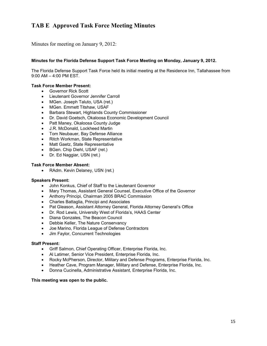# **TAB E Approved Task Force Meeting Minutes**

Minutes for meeting on January 9, 2012:

#### **Minutes for the Florida Defense Support Task Force Meeting on Monday, January 9, 2012.**

The Florida Defense Support Task Force held its initial meeting at the Residence Inn, Tallahassee from 9:00 AM – 4:00 PM EST.

#### **Task Force Member Present:**

- Governor Rick Scott
- Lieutenant Governor Jennifer Carroll
- MGen. Joseph Taluto, USA (ret.)
- MGen. Emmett Titshaw, USAF
- Barbara Stewart, Highlands County Commissioner
- Dr. David Goetsch, Okaloosa Economic Development Council
- Patt Maney, Okaloosa County Judge
- J.R. McDonald, Lockheed Martin
- Tom Neubauer, Bay Defense Alliance
- Ritch Workman, State Representative
- Matt Gaetz, State Representative
- BGen. Chip Diehl, USAF (ret.)
- Dr. Ed Naggiar, USN (ret.)

#### **Task Force Member Absent:**

RAdm. Kevin Delaney, USN (ret.)

#### **Speakers Present:**

- John Konkus, Chief of Staff to the Lieutenant Governor
- Mary Thomas, Assistant General Counsel, Executive Office of the Governor
- Anthony Principi, Chairman 2005 BRAC Commission
- Charles Battaglia, Principi and Associates
- Pat Gleason, Assistant Attorney General, Florida Attorney General's Office
- Dr. Rod Lewis, University West of Florida's, HAAS Center
- Diana Gonzales, The Beacon Council
- Debbie Keller, The Nature Conservancy
- Joe Marino, Florida League of Defense Contractors
- Jim Faylor, Concurrent Technologies

#### **Staff Present:**

- Griff Salmon, Chief Operating Officer, Enterprise Florida, Inc.
- Al Latimer, Senior Vice President, Enterprise Florida, Inc.
- Rocky McPherson, Director, Military and Defense Programs, Enterprise Florida, Inc.
- Heather Cave, Program Manager, Military and Defense, Enterprise Florida, Inc.
- Donna Cucinella, Administrative Assistant, Enterprise Florida, Inc.

#### **This meeting was open to the public.**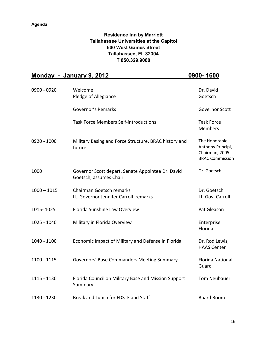## **Residence Inn by Marriott Tallahassee Universities at the Capitol 600 West Gaines Street Tallahassee, FL 32304 T 850.329.9080**

|               | <u>Monday - January 9, 2012</u>                                             | <u>0900-1600</u>                                                               |
|---------------|-----------------------------------------------------------------------------|--------------------------------------------------------------------------------|
| 0900 - 0920   | Welcome<br>Pledge of Allegiance                                             | Dr. David<br>Goetsch                                                           |
|               | Governor's Remarks                                                          | <b>Governor Scott</b>                                                          |
|               | <b>Task Force Members Self-introductions</b>                                | <b>Task Force</b><br><b>Members</b>                                            |
| 0920 - 1000   | Military Basing and Force Structure, BRAC history and<br>future             | The Honorable<br>Anthony Principi,<br>Chairman, 2005<br><b>BRAC Commission</b> |
| 1000          | Governor Scott depart, Senate Appointee Dr. David<br>Goetsch, assumes Chair | Dr. Goetsch                                                                    |
| $1000 - 1015$ | Chairman Goetsch remarks<br>Lt. Governor Jennifer Carroll remarks           | Dr. Goetsch<br>Lt. Gov. Carroll                                                |
| 1015-1025     | Florida Sunshine Law Overview                                               | Pat Gleason                                                                    |
| 1025 - 1040   | Military in Florida Overview                                                | Enterprise<br>Florida                                                          |
| 1040 - 1100   | Economic Impact of Military and Defense in Florida                          | Dr. Rod Lewis,<br><b>HAAS Center</b>                                           |
| 1100 - 1115   | Governors' Base Commanders Meeting Summary                                  | <b>Florida National</b><br>Guard                                               |
| 1115 - 1130   | Florida Council on Military Base and Mission Support<br>Summary             | Tom Neubauer                                                                   |
| 1130 - 1230   | Break and Lunch for FDSTF and Staff                                         | <b>Board Room</b>                                                              |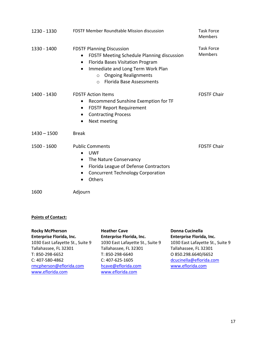| 1230 - 1330   | <b>FDSTF Member Roundtable Mission discussion</b>                                                                                                                                                                                                                                      | <b>Task Force</b><br><b>Members</b> |
|---------------|----------------------------------------------------------------------------------------------------------------------------------------------------------------------------------------------------------------------------------------------------------------------------------------|-------------------------------------|
| 1330 - 1400   | <b>FDSTF Planning Discussion</b><br>FDSTF Meeting Schedule Planning discussion<br>$\bullet$<br>Florida Bases Visitation Program<br>$\bullet$<br>Immediate and Long Term Work Plan<br>$\bullet$<br><b>Ongoing Realignments</b><br>$\circ$<br><b>Florida Base Assessments</b><br>$\circ$ | <b>Task Force</b><br><b>Members</b> |
| 1400 - 1430   | <b>FDSTF Action Items</b><br>Recommend Sunshine Exemption for TF<br>٠<br><b>FDSTF Report Requirement</b><br>$\bullet$<br><b>Contracting Process</b><br>$\bullet$<br>Next meeting                                                                                                       | <b>FDSTF Chair</b>                  |
| $1430 - 1500$ | <b>Break</b>                                                                                                                                                                                                                                                                           |                                     |
| 1500 - 1600   | <b>Public Comments</b><br><b>UWF</b><br>The Nature Conservancy<br>٠<br>Florida League of Defense Contractors<br>٠<br><b>Concurrent Technology Corporation</b><br>٠<br>Others                                                                                                           | <b>FDSTF Chair</b>                  |
| 1600          | Adjourn                                                                                                                                                                                                                                                                                |                                     |

#### **Points of Contact:**

**Rocky McPherson Enterprise Florida, Inc.** 1030 East Lafayette St., Suite 9 Tallahassee, FL 32301 T: 850-298-6652 C: 407-580-4862 [rmcpherson@eflorida.com](mailto:rmcpherson@eflorida.com) [www.eflorida.com](http://www.eflorida.com/)

**Heather Cave Enterprise Florida, Inc.** 1030 East Lafayette St., Suite 9 Tallahassee, FL 32301 T: 850-298-6640 C: 407-625-1605 [hcave@eflorida.com](mailto:hcave@eflorida.com) [www.eflorida.com](http://www.eflorida.com/)

**Donna Cucinella Enterprise Florida, Inc.** 1030 East Lafayette St., Suite 9 Tallahassee, FL 32301 O 850.298.6640/6652 [dcucinella@eflorida.com](mailto:dcucinella@eflorida.com) [www.eflorida.com](http://www.eflorida.com/)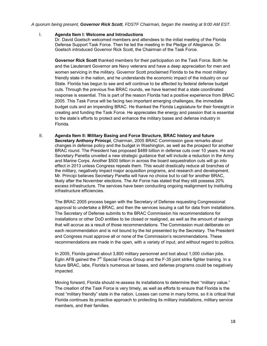#### *A quorum being present, Governor Rick Scott, FDSTF Chairman, began the meeting at 9:00 AM EST.*

#### I. **Agenda Item I: Welcome and Introductions**

Dr. David Goetsch welcomed members and attendees to the initial meeting of the Florida Defense Support Task Force. Then he led the meeting in the Pledge of Allegiance. Dr. Goetsch introduced Governor Rick Scott, the Chairman of the Task Force.

**Governor Rick Scott** thanked members for their participation on the Task Force. Both he and the Lieutenant Governor are Navy veterans and have a deep appreciation for men and women servicing in the military. Governor Scott proclaimed Florida to be the most military friendly state in the nation, and he understands the economic impact of the industry on our State. Florida has begun to see and will continue to be affected by federal defense budget cuts. Through the previous five BRAC rounds, we have learned that a state coordinated response is essential. This is part of the reason Florida had a positive experience from BRAC 2005. This Task Force will be facing two important emerging challenges, the immediate budget cuts and an impending BRAC. He thanked the Florida Legislature for their foresight in creating and funding the Task Force. He appreciates the energy and passion that is essential to the state's efforts to protect and enhance the military bases and defense industry in Florida.

II. **Agenda Item II: Military Basing and Force Structure, BRAC history and future Secretary Anthony Prinicpi**, Chairman, 2005 BRAC Commission gave remarks about changes in defense policy and the budget in Washington, as well as the prospect for another BRAC round. The President has proposed \$489 billion in defense cuts over 10 years. He and Secretary Panetta unveiled a new strategic guidance that will include a reduction in the Army and Marine Corps. Another \$500 billion in across the board sequestration cuts will go into effect in 2013 unless Congress repeals them. This would drastically reduce all branches of the military, negatively impact major acquisition programs, and research and development. Mr. Principi believes Secretary Panetta will have no choice but to call for another BRAC, likely after the November elections. The Air Force has stated that they still possess 20% excess infrastructure. The services have been conducting ongoing realignment by instituting infrastructure efficiencies.

The BRAC 2005 process began with the Secretary of Defense requesting Congressional approval to undertake a BRAC, and then the services issuing a call for data from installations. The Secretary of Defense submits to the BRAC Commission his recommendations for installations or other DoD entities to be closed or realigned, as well as the amount of savings that will accrue as a result of those recommendations. The Commission must deliberate on each recommendation and is not bound by the list presented by the Secretary. The President and Congress must approve all or none of the Commission's recommendations. These recommendations are made in the open, with a variety of input, and without regard to politics.

In 2005, Florida gained about 3,800 military personnel and lost about 1,000 civilian jobs. Eglin AFB gained the  $7<sup>th</sup>$  Special Forces Group and the F-35 joint strike fighter training. In a future BRAC, labs, Florida's numerous air bases, and defense programs could be negatively impacted.

Moving forward, Florida should re-assess its installations to determine their "military value." The creation of the Task Force is very timely, as well as efforts to ensure that Florida is the most "military friendly" state in the nation. Losses can come in many forms, so it is critical that Florida continues its proactive approach to protecting its military installations, military service members, and their families.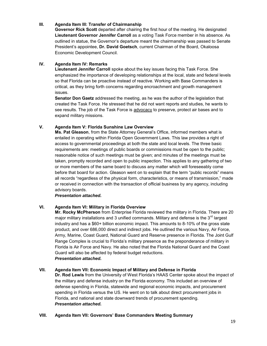#### **III. Agenda Item III: Transfer of Chairmanship**

**Governor Rick Scott** departed after chairing the first hour of the meeting. He designated **Lieutenant Governor Jennifer Carroll** as a voting Task Force member in his absence. As outlined in statue, the Governor's departure meant the chairmanship was passed to Senate President's appointee, **Dr. David Goetsch**, current Chairman of the Board, Okaloosa Economic Development Council.

#### **IV. Agenda Item IV: Remarks**

**Lieutenant Jennifer Carroll** spoke about the key issues facing this Task Force. She emphasized the importance of developing relationships at the local, state and federal levels so that Florida can be proactive instead of reactive. Working with Base Commanders is critical, as they bring forth concerns regarding encroachment and growth management issues.

**Senator Don Gaetz** addressed the meeting, as he was the author of the legislation that created the Task Force. He stressed that he did not want reports and studies, he wants to see results. The job of the Task Force is advocacy to preserve, protect air bases and to expand military missions.

#### **V. Agenda Item V: Florida Sunshine Law Overview**

**Ms. Pat Gleason**, from the State Attorney General's Office, informed members what is entailed in operating within Florida Open Government Laws. This law provides a right of access to governmental proceedings at both the state and local levels. The three basic requirements are: meetings of public boards or commissions must be open to the public; reasonable notice of such meetings must be given; and minutes of the meetings must be taken, promptly recorded and open to public inspection. This applies to any gathering of two or more members of the same board to discuss any matter which will foreseeably come before that board for action. Gleason went on to explain that the term "public records" means all records "regardless of the physical form, characteristics, or means of transmission," made or received in connection with the transaction of official business by any agency, including advisory boards.

#### *Presentation attached.*

#### **VI. Agenda Item VI: Military in Florida Overview**

**Mr. Rocky McPherson** from Enterprise Florida reviewed the military in Florida. There are 20 major military installations and 3 unified commands. Military and defense is the  $3<sup>rd</sup>$  largest industry and has a \$60+ billion economic impact. This amounts to 8-10% of the gross state product, and over 686,000 direct and indirect jobs. He outlined the various Navy, Air Force, Army, Marine, Coast Guard, National Guard and Reserve presence in Florida. The Joint Gulf Range Complex is crucial to Florida's military presence as the preponderance of military in Florida is Air Force and Navy. He also noted that the Florida National Guard and the Coast Guard will also be affected by federal budget reductions. *Presentation attached.* 

#### **VII. Agenda Item VII: Economic Impact of Military and Defense in Florida**

**Dr. Rod Lewis** from the University of West Florida's HAAS Center spoke about the impact of the military and defense industry on the Florida economy. This included an overview of defense spending in Florida, statewide and regional economic impacts, and procurement spending in Florida versus the US. He went on to talk about direct procurement jobs in Florida, and national and state downward trends of procurement spending. *Presentation attached.* 

#### **VIII. Agenda Item VII: Governors' Base Commanders Meeting Summary**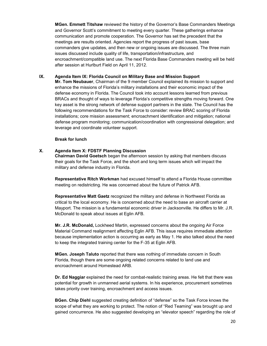**MGen. Emmett Titshaw** reviewed the history of the Governor's Base Commanders Meetings and Governor Scott's commitment to meeting every quarter. These gatherings enhance communication and promote cooperation. The Governor has set the precedent that the meetings are results oriented. Agencies report the progress of past issues, base commanders give updates, and then new or ongoing issues are discussed. The three main issues discussed include quality of life, transportation/infrastructure, and encroachment/compatible land use. The next Florida Base Commanders meeting will be held after session at Hurlburt Field on April 11, 2012.

#### **IX. Agenda Item IX: Florida Council on Military Base and Mission Support**

**Mr. Tom Neubauer**, Chairman of the 9 member Council explained its mission to support and enhance the missions of Florida's military installations and their economic impact of the defense economy in Florida. The Council took into account lessons learned from previous BRACs and thought of ways to leverage Florida's competitive strengths moving forward. One key asset is the strong network of defense support partners in the state. The Council has the following recommendations for the Task Force to consider: review BRAC scoring of Florida installations; core mission assessment; encroachment identification and mitigation; national defense program monitoring; communication/coordination with congressional delegation; and leverage and coordinate volunteer support.

#### **Break for lunch**

#### **X. Agenda Item X: FDSTF Planning Discussion**

**Chairman David Goetsch** began the afternoon session by asking that members discuss their goals for the Task Force, and the short and long term issues which will impact the military and defense industry in Florida.

**Representative Ritch Workman** had excused himself to attend a Florida House committee meeting on redistricting. He was concerned about the future of Patrick AFB.

**Representative Matt Gaetz** recognized the military and defense in Northwest Florida as critical to the local economy. He is concerned about the need to base an aircraft carrier at Mayport. The mission is a fundamental economic driver in Jacksonville. He differs to Mr. J.R. McDonald to speak about issues at Eglin AFB.

**Mr. J.R. McDonald,** Lockheed Martin, expressed concerns about the ongoing Air Force Material Command realignment affecting Eglin AFB. This issue requires immediate attention because implementation action is occurring as early as May 1. He also talked about the need to keep the integrated training center for the F-35 at Eglin AFB.

**MGen. Joseph Taluto** reported that there was nothing of immediate concern in South Florida, though there are some ongoing related concerns related to land use and encroachment around Homestead ARB.

**Dr. Ed Naggiar** explained the need for combat-realistic training areas. He felt that there was potential for growth in unmanned aerial systems. In his experience, procurement sometimes takes priority over training, encroachment and access issues.

**BGen. Chip Diehl** suggested creating definition of "defense" so the Task Force knows the scope of what they are working to protect. The notion of "Red Teaming" was brought up and gained concurrence. He also suggested developing an "elevator speech" regarding the role of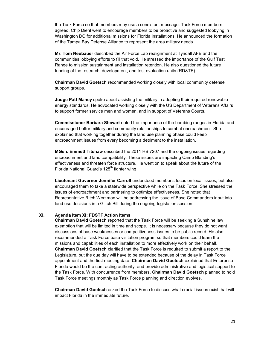the Task Force so that members may use a consistent message. Task Force members agreed. Chip Diehl went to encourage members to be proactive and suggested lobbying in Washington DC for additional missions for Florida installations. He announced the formation of the Tampa Bay Defense Alliance to represent the area military needs.

**Mr. Tom Neubauer** described the Air Force Lab realignment at Tyndall AFB and the communities lobbying efforts to fill that void. He stressed the importance of the Gulf Test Range to mission sustainment and installation retention. He also questioned the future funding of the research, development, and test evaluation units (RD&TE).

**Chairman David Goetsch** recommended working closely with local community defense support groups.

**Judge Patt Maney** spoke about assisting the military in adopting their required renewable energy standards. He advocated working closely with the US Department of Veterans Affairs to support former service men and women, and in support of Veterans Courts.

**Commissioner Barbara Stewart** noted the importance of the bombing ranges in Florida and encouraged better military and community relationships to combat encroachment. She explained that working together during the land use planning phase could keep encroachment issues from every becoming a detriment to the installation.

**MGen. Emmett Titshaw** described the 2011 HB 7207 and the ongoing issues regarding encroachment and land compatibility. These issues are impacting Camp Blanding's effectiveness and threaten force structure. He went on to speak about the future of the Florida National Guard's 125<sup>th</sup> fighter wing

**Lieutenant Governor Jennifer Carroll** understood member's focus on local issues, but also encouraged them to take a statewide perspective while on the Task Force. She stressed the issues of encroachment and partnering to optimize effectiveness. She noted that Representative Ritch Workman will be addressing the issue of Base Commanders input into land use decisions in a Glitch Bill during the ongoing legislation session.

#### **XI. Agenda Item XI: FDSTF Action Items**

**Chairman David Goetsch** reported that the Task Force will be seeking a Sunshine law exemption that will be limited in time and scope. It is necessary because they do not want discussions of base weaknesses or competitiveness issues to be public record. He also recommended a Task Force base visitation program so that members could learn the missions and capabilities of each installation to more effectively work on their behalf. **Chairman David Goetsch** clarified that the Task Force is required to submit a report to the Legislature, but the due day will have to be extended because of the delay in Task Force appointment and the first meeting date. **Chairman David Goetsch** explained that Enterprise Florida would be the contracting authority, and provide administrative and logistical support to the Task Force. With concurrence from members, **Chairman David Goetsch** planned to hold Task Force meetings monthly as Task Force planning and direction evolves.

**Chairman David Goetsch** asked the Task Force to discuss what crucial issues exist that will impact Florida in the immediate future.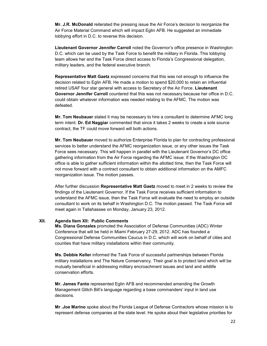**Mr. J.R. McDonald** reiterated the pressing issue the Air Force's decision to reorganize the Air Force Material Command which will impact Eglin AFB. He suggested an immediate lobbying effort in D.C. to reverse this decision.

**Lieutenant Governor Jennifer Carroll** noted the Governor's office presence in Washington D.C. which can be used by the Task Force to benefit the military in Florida. This lobbying team allows her and the Task Force direct access to Florida's Congressional delegation, military leaders, and the federal executive branch.

**Representative Matt Gaetz** expressed concerns that this was not enough to influence the decision related to Eglin AFB. He made a motion to spend \$20,000 to retain an influential retired USAF four star general with access to Secretary of the Air Force. **Lieutenant Governor Jennifer Carroll** countered that this was not necessary because her office in D.C. could obtain whatever information was needed relating to the AFMC. The motion was defeated.

**Mr. Tom Neubauer** stated it may be necessary to hire a consultant to determine AFMC long term intent. **Dr. Ed Naggiar** commented that since it takes 2 weeks to create a sole source contract, the TF could move forward will both actions.

**Mr. Tom Neubauer** moved to authorize Enterprise Florida to plan for contracting professional services to better understand the AFMC reorganization issue, or any other issues the Task Force sees necessary. This will happen in parallel with the Lieutenant Governor's DC office gathering information from the Air Force regarding the AFMC issue. If the Washington DC office is able to gather sufficient information within the allotted time, then the Task Force will not move forward with a contract consultant to obtain additional information on the AMFC reorganization issue. The motion passes.

After further discussion **Representative Matt Gaetz** moved to meet in 2 weeks to review the findings of the Lieutenant Governor. If the Task Force receives sufficient information to understand the AFMC issue, then the Task Force will evaluate the need to employ an outside consultant to work on its behalf in Washington D.C. The motion passed. The Task Force will meet again in Tallahassee on Monday, January 23, 2012.

#### **XII. Agenda Item XII: Public Comments**

**Ms. Diana Gonzales** promoted the Association of Defense Communities (ADC) Winter Conference that will be held in Miami February 27-29, 2012. ADC has founded a Congressional Defense Communities Caucus in D.C. which will work on behalf of cities and counties that have military installations within their community.

**Ms. Debbie Keller** informed the Task Force of successful partnerships between Florida military installations and The Nature Conservancy. Their goal is to protect land which will be mutually beneficial in addressing military encroachment issues and land and wildlife conservation efforts.

**Mr. James Fanto** represented Eglin AFB and recommended amending the Growth Management Glitch Bill's language regarding a base commanders' input in land use decisions.

**Mr .Joe Marino** spoke about the Florida League of Defense Contractors whose mission is to represent defense companies at the state level. He spoke about their legislative priorities for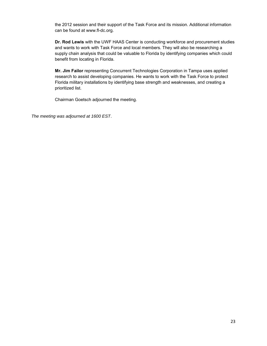the 2012 session and their support of the Task Force and its mission. Additional information can be found at www.fl-dc.org.

**Dr. Rod Lewis** with the UWF HAAS Center is conducting workforce and procurement studies and wants to work with Task Force and local members. They will also be researching a supply chain analysis that could be valuable to Florida by identifying companies which could benefit from locating in Florida.

**Mr. Jim Failor** representing Concurrent Technologies Corporation in Tampa uses applied research to assist developing companies. He wants to work with the Task Force to protect Florida military installations by identifying base strength and weaknesses, and creating a prioritized list.

Chairman Goetsch adjourned the meeting.

*The meeting was adjourned at 1600 EST*.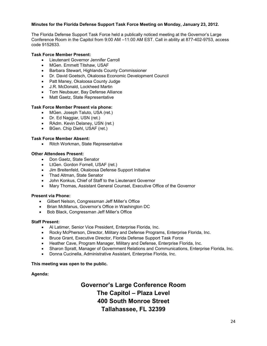#### **Minutes for the Florida Defense Support Task Force Meeting on Monday, January 23, 2012.**

The Florida Defense Support Task Force held a publically noticed meeting at the Governor's Large Conference Room in the Capitol from 9:00 AM –11:00 AM EST. Call in ability at 877-402-9753, access code 9152633.

#### **Task Force Member Present:**

- Lieutenant Governor Jennifer Carroll
- MGen. Emmett Titshaw, USAF
- Barbara Stewart, Highlands County Commissioner
- Dr. David Goetsch, Okaloosa Economic Development Council
- Patt Maney, Okaloosa County Judge
- J.R. McDonald, Lockheed Martin
- Tom Neubauer, Bay Defense Alliance
- Matt Gaetz, State Representative

#### **Task Force Member Present via phone:**

- MGen. Joseph Taluto, USA (ret.)
- Dr. Ed Naggiar, USN (ret.)
- RAdm. Kevin Delaney, USN (ret.)
- BGen. Chip Diehl, USAF (ret.)

#### **Task Force Member Absent:**

• Ritch Workman, State Representative

#### **Other Attendees Present:**

- Don Gaetz, State Senator
- LtGen. Gordon Fornell, USAF (ret.)
- Jim Breitenfeld, Okaloosa Defense Support Initiative
- Thad Altman, State Senator
- John Konkus, Chief of Staff to the Lieutenant Governor
- Mary Thomas, Assistant General Counsel, Executive Office of the Governor

#### **Present via Phone:**

- Gilbert Nelson, Congressman Jeff Miller's Office
- Brian McManus, Governor's Office in Washington DC
- Bob Black, Congressman Jeff Miller's Office

#### **Staff Present:**

- Al Latimer, Senior Vice President, Enterprise Florida, Inc.
- Rocky McPherson, Director, Military and Defense Programs, Enterprise Florida, Inc.
- Bruce Grant, Executive Director, Florida Defense Support Task Force
- Heather Cave, Program Manager, Military and Defense, Enterprise Florida, Inc.
- Sharon Spratt, Manager of Government Relations and Communications, Enterprise Florida, Inc.
- Donna Cucinella, Administrative Assistant, Enterprise Florida, Inc.

#### **This meeting was open to the public.**

#### **Agenda:**

# **Governor's Large Conference Room The Capitol – Plaza Level 400 South Monroe Street Tallahassee, FL 32399**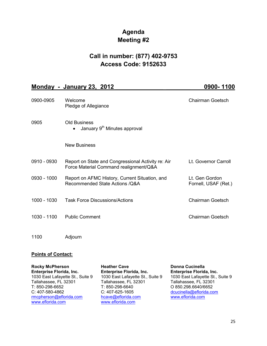# **Agenda Meeting #2**

# **Call in number: (877) 402-9753 Access Code: 9152633**

# **Monday - January 23, 2012 \_\_\_\_\_\_\_\_\_\_\_\_\_\_ \_\_\_\_\_\_\_ 0900- 1100**

| 0900-0905   | Welcome<br>Pledge of Allegiance                                                              | <b>Chairman Goetsch</b>                |
|-------------|----------------------------------------------------------------------------------------------|----------------------------------------|
| 0905        | <b>Old Business</b><br>January 9 <sup>th</sup> Minutes approval<br>$\bullet$                 |                                        |
|             | <b>New Business</b>                                                                          |                                        |
| 0910 - 0930 | Report on State and Congressional Activity re: Air<br>Force Material Command realignment/Q&A | Lt. Governor Carroll                   |
| 0930 - 1000 | Report on AFMC History, Current Situation, and<br>Recommended State Actions / Q& A           | Lt. Gen Gordon<br>Fornell, USAF (Ret.) |
| 1000 - 1030 | <b>Task Force Discussions/Actions</b>                                                        | <b>Chairman Goetsch</b>                |
| 1030 - 1100 | <b>Public Comment</b>                                                                        | <b>Chairman Goetsch</b>                |
| 1100        | Adjourn                                                                                      |                                        |

# **Points of Contact:**

| <b>Rocky McPherson</b>           | <b>Heather Cave</b>              | <b>Donna Cucinella</b>           |  |
|----------------------------------|----------------------------------|----------------------------------|--|
| Enterprise Florida, Inc.         | Enterprise Florida, Inc.         | Enterprise Florida, Inc.         |  |
| 1030 East Lafayette St., Suite 9 | 1030 East Lafayette St., Suite 9 | 1030 East Lafayette St., Suite 9 |  |
| Tallahassee, FL 32301            | Tallahassee, FL 32301            | Tallahassee, FL 32301            |  |
| T: 850-298-6652                  | T: 850-298-6640                  | O 850.298.6640/6652              |  |
| C: 407-580-4862                  | C: 407-625-1605                  | dcucinella@eflorida.com          |  |
| rmcpherson@eflorida.com          | hcave@eflorida.com               | www.eflorida.com                 |  |
| www.eflorida.com                 | www.eflorida.com                 |                                  |  |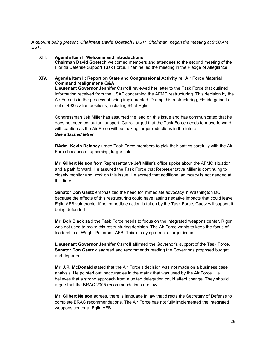*A quorum being present, Chairman David Goetsch FDSTF Chairman, began the meeting at 9:00 AM EST.* 

#### XIII. **Agenda Item I: Welcome and Introductions**

**Chairman David Goetsch** welcomed members and attendees to the second meeting of the Florida Defense Support Task Force. Then he led the meeting in the Pledge of Allegiance.

#### **XIV. Agenda Item II: Report on State and Congressional Activity re: Air Force Material Command realignment/ Q&A**

**Lieutenant Governor Jennifer Carroll** reviewed her letter to the Task Force that outlined information received from the USAF concerning the AFMC restructuring. This decision by the Air Force is in the process of being implemented. During this restructuring, Florida gained a net of 493 civilian positions, including 64 at Eglin.

Congressman Jeff Miller has assumed the lead on this issue and has communicated that he does not need consultant support. Carroll urged that the Task Force needs to move forward with caution as the Air Force will be making larger reductions in the future. *See attached letter.* 

**RAdm. Kevin Delaney** urged Task Force members to pick their battles carefully with the Air Force because of upcoming, larger cuts.

**Mr. Gilbert Nelson** from Representative Jeff Miller's office spoke about the AFMC situation and a path forward. He assured the Task Force that Representative Miller is continuing to closely monitor and work on this issue. He agreed that additional advocacy is not needed at this time.

**Senator Don Gaetz** emphasized the need for immediate advocacy in Washington DC because the effects of this restructuring could have lasting negative impacts that could leave Eglin AFB vulnerable. If no immediate action is taken by the Task Force, Gaetz will support it being defunded.

**Mr. Bob Black** said the Task Force needs to focus on the integrated weapons center. Rigor was not used to make this restructuring decision. The Air Force wants to keep the focus of leadership at Wright-Patterson AFB. This is a symptom of a larger issue.

**Lieutenant Governor Jennifer Carroll** affirmed the Governor's support of the Task Force. **Senator Don Gaetz** disagreed and recommends reading the Governor's proposed budget and departed.

**Mr. J.R. McDonald** stated that the Air Force's decision was not made on a business case analysis. He pointed out inaccuracies in the matrix that was used by the Air Force. He believes that a strong approach from a united delegation could affect change. They should argue that the BRAC 2005 recommendations are law.

**Mr. Gilbert Nelson** agrees, there is language in law that directs the Secretary of Defense to complete BRAC recommendations. The Air Force has not fully implemented the integrated weapons center at Eglin AFB.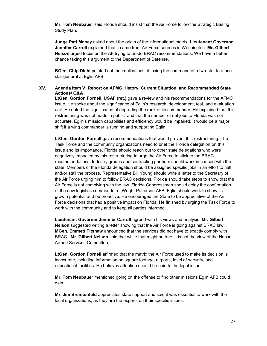**Mr. Tom Neubauer** said Florida should insist that the Air Force follow the Strategic Basing Study Plan.

**Judge Patt Maney** asked about the origin of the informational matrix. **Lieutenant Governor Jennifer Carroll** explained that it came from Air Force sources in Washington. **Mr. Gilbert Nelson** urged focus on the AF trying to un-do BRAC recommendations. We have a better chance taking this argument to the Department of Defense.

**BGen. Chip Diehl** pointed out the implications of losing the command of a two-star to a onestar general at Eglin AFB.

#### **XV. Agenda Item V: Report on AFMC History, Current Situation, and Recommended State Actions/ Q&A**

**LtGen. Gordon Fornell, USAF (ret.)** gave a review and his recommendations for the AFMC issue. He spoke about the significance of Eglin's research, development, test, and evaluation unit. He noted the significance of degrading the rank of its commander. He explained that this restructuring was not made in public, and that the number of net jobs to Florida was not accurate. Eglin's mission capabilities and efficiency would be impaired. It would be a major shift if a wing commander is running and supporting Eglin.

**LtGen. Gordon Fornell** gave recommendations that would prevent this restructuring. The Task Force and the community organizations need to brief the Florida delegation on this issue and its importance. Florida should reach out to other state delegations who were negatively impacted by this restructuring to urge the Air Force to stick to the BRAC recommendations. Industry groups and contracting partners should work in concert with the state. Members of the Florida delegation should be assigned specific jobs in an effort to halt and/or stall the process. Representative Bill Young should write a letter to the Secretary of the Air Force urging him to follow BRAC decisions. Florida should take steps to show that the Air Force is not complying with the law. Florida Congressmen should delay the confirmation of the new logistics commander of Wright-Patterson AFB. Eglin should work to show its growth potential and be proactive. He encouraged the State to be appreciative of the Air Force decisions that had a positive impact on Florida. He finished by urging the Task Force to work with the community and to keep all parties informed.

**Lieutenant Governor Jennifer Carroll** agreed with his views and analysis. **Mr. Gilbert Nelson** suggested writing a letter showing that the Air Force is going against BRAC law. **MGen. Emmett Titshaw** announced that the services did not have to exactly comply with BRAC. **Mr. Gilbert Nelson** said that while that might be true, it is not the view of the House Armed Services Committee.

**LtGen. Gordon Fornell** affirmed that the matrix the Air Force used to make its decision is inaccurate, including information on square footage, airports, level of security, and educational facilities. He believes attention should be paid to the legal issue.

**Mr. Tom Neubauer** mentioned going on the offense to find other missions Eglin AFB could gain.

**Mr. Jim Breintenfeld** appreciates state support and said it was essential to work with the local organizations, as they are the experts on their specific issues.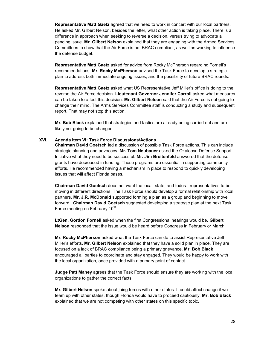**Representative Matt Gaetz** agreed that we need to work in concert with our local partners. He asked Mr. Gilbert Nelson, besides the letter, what other action is taking place. There is a difference in approach when seeking to reverse a decision, versus trying to advocate a pending issue. **Mr. Gilbert Nelson** explained that they are engaging with the Armed Services Committees to show that the Air Force is not BRAC compliant, as well as working to influence the defense budget.

**Representative Matt Gaetz** asked for advice from Rocky McPherson regarding Fornell's recommendations. **Mr. Rocky McPherson** advised the Task Force to develop a strategic plan to address both immediate ongoing issues, and the possibility of future BRAC rounds.

**Representative Matt Gaetz** asked what US Representative Jeff Miller's office is doing to the reverse the Air Force decision. **Lieutenant Governor Jennifer Carroll** asked what measures can be taken to affect this decision. **Mr. Gilbert Nelson** said that the Air Force is not going to change their mind. The Arms Services Committee staff is conducting a study and subsequent report. That may not stop this action.

**Mr. Bob Black** explained that strategies and tactics are already being carried out and are likely not going to be changed.

#### **XVI. Agenda Item VI: Task Force Discussions/Actions**

**Chairman David Goetsch** led a discussion of possible Task Force actions. This can include strategic planning and advocacy. **Mr. Tom Neubauer** asked the Okaloosa Defense Support Initiative what they need to be successful. **Mr. Jim Breitenfeld** answered that the defense grants have decreased in funding. Those programs are essential in supporting community efforts. He recommended having a mechanism in place to respond to quickly developing issues that will affect Florida bases.

**Chairman David Goetsch** does not want the local, state, and federal representatives to be moving in different directions. The Task Force should develop a formal relationship with local partners. **Mr. J.R. McDonald** supported forming a plan as a group and beginning to move forward. **Chairman David Goetsch** suggested developing a strategic plan at the next Task Force meeting on February 10<sup>th</sup>.

**LtGen. Gordon Fornell** asked when the first Congressional hearings would be. **Gilbert Nelson** responded that the issue would be heard before Congress in February or March.

**Mr. Rocky McPherson** asked what the Task Force can do to assist Representative Jeff Miller's efforts. **Mr. Gilbert Nelson** explained that they have a solid plan in place. They are focused on a lack of BRAC compliance being a primary grievance. **Mr. Bob Black**  encouraged all parties to coordinate and stay engaged. They would be happy to work with the local organization, once provided with a primary point of contact.

**Judge Patt Maney** agrees that the Task Force should ensure they are working with the local organizations to gather the correct facts.

**Mr. Gilbert Nelson** spoke about joing forces with other states. It could affect change if we team up with other states, though Florida would have to proceed cautiously. **Mr. Bob Black**  explained that we are not competing with other states on this specific topic.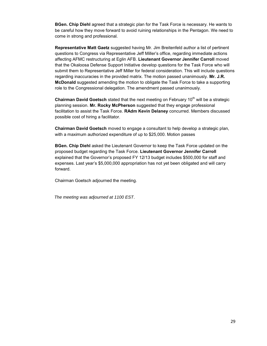**BGen. Chip Diehl** agreed that a strategic plan for the Task Force is necessary. He wants to be careful how they move forward to avoid ruining relationships in the Pentagon. We need to come in strong and professional.

**Representative Matt Gaetz** suggested having Mr. Jim Breitenfeld author a list of pertinent questions to Congress via Representative Jeff Miller's office, regarding immediate actions affecting AFMC restructuring at Eglin AFB. **Lieutenant Governor Jennifer Carroll** moved that the Okaloosa Defense Support Initiative develop questions for the Task Force who will submit them to Representative Jeff Miller for federal consideration. This will include questions regarding inaccuracies in the provided matrix. The motion passed unanimously. **Mr. J.R. McDonald** suggested amending the motion to obligate the Task Force to take a supporting role to the Congressional delegation. The amendment passed unanimously.

**Chairman David Goetsch** stated that the next meeting on February 10<sup>th</sup> will be a strategic planning session. **Mr. Rocky McPherson** suggested that they engage professional facilitation to assist the Task Force. **RAdm Kevin Delaney** concurred. Members discussed possible cost of hiring a facilitator.

**Chairman David Goetsch** moved to engage a consultant to help develop a strategic plan, with a maximum authorized expenditure of up to \$25,000. Motion passes

**BGen. Chip Diehl** asked the Lieutenant Governor to keep the Task Force updated on the proposed budget regarding the Task Force. **Lieutenant Governor Jennifer Carroll**  explained that the Governor's proposed FY 12/13 budget includes \$500,000 for staff and expenses. Last year's \$5,000,000 appropriation has not yet been obligated and will carry forward.

Chairman Goetsch adjourned the meeting.

 *The meeting was adjourned at 1100 EST*.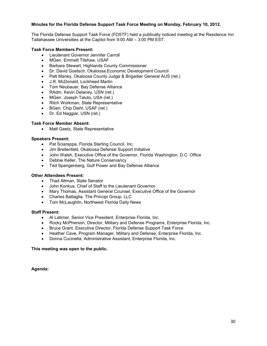#### **Minutes for the Florida Defense Support Task Force Meeting on Monday, February 10, 2012.**

The Florida Defense Support Task Force (FDSTF) held a publically noticed meeting at the Residence Inn Tallahassee Universities at the Capitol from 9:00 AM – 3:00 PM EST.

#### **Task Force Members Present:**

- Lieutenant Governor Jennifer Carroll
- MGen. Emmett Titshaw, USAF
- Barbara Stewart, Highlands County Commissioner
- Dr. David Goetsch, Okaloosa Economic Development Council
- Patt Maney, Okaloosa County Judge & Brigadier General AUS (ret.)
- J.R. McDonald, Lockheed Martin
- Tom Neubauer, Bay Defense Alliance
- RAdm. Kevin Delaney, USN (ret.)
- MGen. Joseph Taluto, USA (ret.)
- Ritch Workman, State Representative
- BGen. Chip Diehl, USAF (ret.)
- Dr. Ed Naggiar, USN (ret.)

#### **Task Force Member Absent:**

• Matt Gaetz, State Representative

#### **Speakers Present:**

- Pat Sciarappa, Florida Sterling Council, Inc.
- Jim Breitenfeld, Okaloosa Defense Support Initiative
- John Walsh, Executive Office of the Governor, Florida Washington, D.C. Office
- Debbie Keller, The Nature Conservancy
- Ted Spangenberg, Gulf Power and Bay Defense Alliance

#### **Other Attendees Present:**

- Thad Altman, State Senator
- John Konkus, Chief of Staff to the Lieutenant Governor
- Mary Thomas, Assistant General Counsel, Executive Office of the Governor
- Charles Battaglia, The Principi Group, LLC
- Tom McLaughlin, Northwest Florida Daily News

#### **Staff Present:**

- Al Latimer, Senior Vice President, Enterprise Florida, Inc.
- Rocky McPherson, Director, Military and Defense Programs, Enterprise Florida, Inc.
- Bruce Grant, Executive Director, Florida Defense Support Task Force
- Heather Cave, Program Manager, Military and Defense, Enterprise Florida, Inc.
- Donna Cucinella, Administrative Assistant, Enterprise Florida, Inc.

#### **This meeting was open to the public.**

**Agenda:**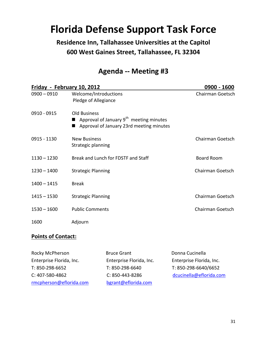# **Florida Defense Support Task Force**

**Residence Inn, Tallahassee Universities at the Capitol 600 West Gaines Street, Tallahassee, FL 32304** 

# **Agenda -- Meeting #3**

| Friday - February 10, 2012 |                                                                                                                        | 0900 - 1600             |  |
|----------------------------|------------------------------------------------------------------------------------------------------------------------|-------------------------|--|
| $0900 - 0910$              | Welcome/Introductions<br>Pledge of Allegiance                                                                          | Chairman Goetsch        |  |
| 0910 - 0915                | <b>Old Business</b><br>Approval of January 9 <sup>th</sup> meeting minutes<br>Approval of January 23rd meeting minutes |                         |  |
| 0915 - 1130                | <b>New Business</b><br>Strategic planning                                                                              | Chairman Goetsch        |  |
| $1130 - 1230$              | Break and Lunch for FDSTF and Staff                                                                                    | <b>Board Room</b>       |  |
| $1230 - 1400$              | <b>Strategic Planning</b>                                                                                              | <b>Chairman Goetsch</b> |  |
| $1400 - 1415$              | <b>Break</b>                                                                                                           |                         |  |
| $1415 - 1530$              | <b>Strategic Planning</b>                                                                                              | Chairman Goetsch        |  |
| $1530 - 1600$              | <b>Public Comments</b>                                                                                                 | Chairman Goetsch        |  |
| 1600                       | Adjourn                                                                                                                |                         |  |

# **Points of Contact:**

| Rocky McPherson          | <b>Bruce Grant</b>       | Donna Cucinella          |
|--------------------------|--------------------------|--------------------------|
| Enterprise Florida, Inc. | Enterprise Florida, Inc. | Enterprise Florida, Inc. |
| T: 850-298-6652          | T: 850-298-6640          | T: 850-298-6640/6652     |
| C: 407-580-4862          | C: 850-443-8286          | dcucinella@eflorida.com  |
| rmcpherson@eflorida.com  | bgrant@eflorida.com      |                          |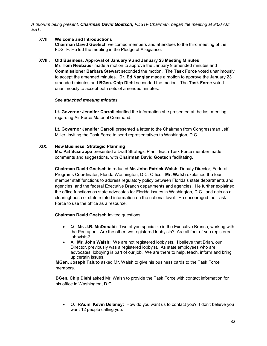*A quorum being present, Chairman David Goetsch, FDSTF Chairman, began the meeting at 9:00 AM EST.* 

#### XVII. **Welcome and Introductions**

**Chairman David Goetsch** welcomed members and attendees to the third meeting of the FDSTF. He led the meeting in the Pledge of Allegiance.

#### **XVIII. Old Business. Approval of January 9 and January 23 Meeting Minutes**

**Mr. Tom Neubauer** made a motion to approve the January 9 amended minutes and **Commissioner Barbara Stewart** seconded the motion. The **Task Force** voted unanimously to accept the amended minutes. **Dr. Ed Naggiar** made a motion to approve the January 23 amended minutes and **BGen. Chip Diehl** seconded the motion. The **Task Force** voted unanimously to accept both sets of amended minutes.

#### *See attached meeting minutes.*

**Lt. Governor Jennifer Carroll** clarified the information she presented at the last meeting regarding Air Force Material Command.

**Lt. Governor Jennifer Carroll** presented a letter to the Chairman from Congressman Jeff Miller, inviting the Task Force to send representatives to Washington, D.C.

#### **XIX. New Business. Strategic Planning**

**Ms. Pat Sciarappa** presented a Draft Strategic Plan. Each Task Force member made comments and suggestions, with **Chairman David Goetsch** facilitating**.** 

**Chairman David Goetsch** introduced **Mr. John Patrick Walsh**, Deputy Director, Federal Programs Coordinator, Florida Washington, D.C. Office. **Mr. Walsh** explained the fourmember staff functions to address regulatory policy between Florida's state departments and agencies, and the federal Executive Branch departments and agencies. He further explained the office functions as state advocates for Florida issues in Washington, D.C., and acts as a clearinghouse of state related information on the national level. He encouraged the Task Force to use the office as a resource.

**Chairman David Goetsch** invited questions:

- Q. **Mr. J.R. McDonald:** Two of you specialize in the Executive Branch, working with the Pentagon. Are the other two registered lobbyists? Are all four of you registered lobbyists?
- A. **Mr. John Walsh:** We are not registered lobbyists. I believe that Brian, our Director, previously was a registered lobbyist. As state employees who are advocates, lobbying is part of our job. We are there to help, teach, inform and bring up certain issues.

**MGen. Joseph Taluto** asked Mr. Walsh to give his business cards to the Task Force members.

**BGen. Chip Diehl** asked Mr. Walsh to provide the Task Force with contact information for his office in Washington, D.C.

 Q. **RAdm. Kevin Delaney:** How do you want us to contact you? I don't believe you want 12 people calling you.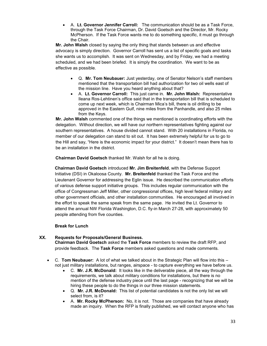A. **Lt. Governor Jennifer Carroll:** The communication should be as a Task Force, through the Task Force Chairman, Dr. David Goetsch and the Director, Mr. Rocky McPherson. If the Task Force wants me to do something specific, it must go through the Chair.

**Mr. John Walsh** closed by saying the only thing that stands between us and effective advocacy is simply direction. Governor Carroll has sent us a list of specific goals and tasks she wants us to accomplish. It was sent on Wednesday, and by Friday, we had a meeting scheduled, and we had been briefed. It is simply the coordination. We want to be as effective as possible.

- Q. **Mr. Tom Neubauer:** Just yesterday, one of Senator Nelson's staff members mentioned that the transportation bill had authorization for two oil wells east of the mission line. Have you heard anything about that?
- A. **Lt. Governor Carroll:** This just came in. **Mr. John Walsh:** Representative Ileana Ros-Lehtinen's office said that in the transportation bill that is scheduled to come up next week, which is Chairman Mica's bill, there is oil drilling to be approved in the Eastern Gulf, nine miles from the Panhandle, and also 25 miles from the Keys.

**Mr. John Walsh** commented one of the things we mentioned is coordinating efforts with the delegation. Without direction, we will have our northern representatives fighting against our southern representatives. A house divided cannot stand. With 20 installations in Florida, no member of our delegation can stand to sit out. It has been extremely helpful for us to go to the Hill and say, "Here is the economic impact for your district." It doesn't mean there has to be an installation in the district.

 **Chairman David Goetsch** thanked Mr. Walsh for all he is doing.

**Chairman David Goetsch** introduced **Mr. Jim Breitenfeld**, with the Defense Support Initiative (DSI) in Okaloosa County. **Mr. Breitenfeld** thanked the Task Force and the Lieutenant Governor for addressing the Eglin issue. He described the communication efforts of various defense support initiative groups. This includes regular communication with the office of Congressman Jeff Miller, other congressional offices, high level federal military and other government officials, and other installation communities. He encouraged all involved in the effort to speak the same speak from the same page. He invited the Lt. Governor to attend the annual NW Florida Washington, D.C. fly-in March 27-28, with approximately 50 people attending from five counties.

#### **Break for Lunch**

#### **XX. Requests for Proposals/General Business.**

**Chairman David Goetsch** asked the **Task Force** members to review the draft RFP, and provide feedback. The **Task Force** members asked questions and made comments.

- C. **Tom Neubauer:** A lot of what we talked about in the Strategic Plan will flow into this not just military installations, but ranges, airspace - to capture everything we have before us.
	- C. **Mr. J.R. McDonald:** It looks like in the deliverable piece, all the way through the requirements, we talk about military conditions for installations, but there is no mention of the defense industry piece until the last page - recognizing that we will be hiring these people to do the things in our three mission statements.
	- Q. **Mr. J.R. McDonald:** This list of potential candidates is not the only list we will select from, is it?
	- A. **Mr. Rocky McPherson:** No, it is not. Those are companies that have already made an inquiry. When the RFP is finally published, we will contact anyone who has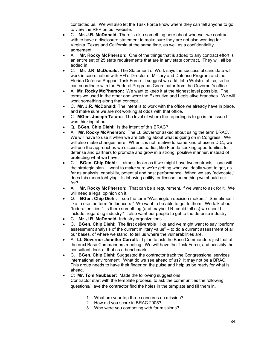contacted us. We will also let the Task Force know where they can tell anyone to go to view the RFP on our website.

- C. **Mr. J.R. McDonald:** There is also something here about whoever we contract with to have a disclosure statement to make sure they are not also working for Virginia, Texas and California at the same time, as well as a confidentiality agreement.
- A. **Mr. Rocky McPherson:** One of the things that is added to any contract effort is an entire set of 25 state requirements that are in any state contract. They will all be added in.
- C. **Mr. J.R. McDonald:** The Statement of Work says the successful candidate will work in coordination with EFI's Director of Military and Defense Program and the Florida Defense Support Task Force. I suggest we add John Walsh's office, so he can coordinate with the Federal Programs Coordinator from the Governor's office.
- A. **Mr. Rocky McPherson:** We want to keep it at the highest level possible. The terms we used in the other one were the Executive and Legislative branches. We will work something along that concept.
- C. **Mr. J.R. McDonald:** The intent is to work with the office we already have in place, and make sure we are not working at odds with that office.
- C. **MGen. Joseph Taluto:** The level of where the reporting is to go is the issue I was thinking about.
- Q. **BGen. Chip Diehl:** Is the intent of this BRAC?
- A. **Mr. Rocky McPherson:** The Lt. Governor asked about using the term BRAC. We will have to use it when we are talking about what is going on in Congress. We will also make changes here. When it is not relative to some kind of use in D.C., we will use the approaches we discussed earlier, like Florida seeking opportunities for defense and partners to promote and grow in a strong, positive manner, instead of protecting what we have.
- C. **BGen. Chip Diehl:** It almost looks as if we might have two contracts one with the strategic plan. I want to make sure we're getting what we ideally want to get, as far as analysis, capability, potential and past performance. When we say "advocate," does this mean lobbying. Is lobbying ability, or license, something we should ask for?
- A. **Mr. Rocky McPherson:** That can be a requirement, if we want to ask for it. We will need a legal opinion on it.
- Q. **BGen. Chip Diehl:** I see the term "Washington decision makers." Sometimes I like to use the term "influencers." We want to be able to get to them. We talk about "federal entities." Is there something (and maybe J.R. could tell us) we should include, regarding industry? I also want our people to get to the defense industry.
- C. **Mr. J.R. McDonald:** Industry organizations.
- C. **BGen. Chip Diehl:** The first deliverable I like and we might want to say "perform assessment analysis of the current military value" – to do a current assessment of all our bases, of where we stand, to tell us where the vulnerabilities are.
- A. **Lt. Governor Jennifer Carroll:** I plan to ask the Base Commanders just that at the next Base Commanders meeting. We will have the Task Force, and possibly the consultant, look at that as a benchmark.
- C. **BGen. Chip Diehl:** Suggested the contractor track the Congressional services international environment. What do we see ahead of us? It may not be a BRAC. This group needs to have their finger on the pulse and help us be ready for what is ahead.
- C: **Mr. Tom Neubauer:** Made the following suggestions. Contractor start with the template process, to ask the communities the following questions/Have the contractor find the holes in the template and fill them in.
	- 1. What are your top three concerns on mission?
	- 2. How did you score in BRAC 2005?
	- 3. Who were you competing with for missions?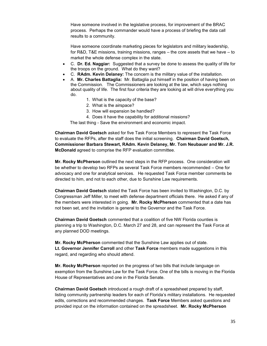Have someone involved in the legislative process, for improvement of the BRAC process. Perhaps the commander would have a process of briefing the data call results to a community.

Have someone coordinate marketing pieces for legislators and military leadership, for R&D, T&E missions, training missions, ranges – the core assets that we have – to market the whole defense complex in the state.

- C. **Dr. Ed. Naggiar:** Suggested that a survey be done to assess the quality of life for the troops on the ground. What do they want?
- C. **RAdm. Kevin Delaney:** The concern is the military value of the installation.
- A. **Mr. Charles Battaglia:** Mr. Battaglia put himself in the position of having been on the Commission. The Commissioners are looking at the law, which says nothing about quality of life. The first four criteria they are looking at will drive everything you do.
	- 1. What is the capacity of the base?
	- 2. What is the airspace?
	- 3. How will expansion be handled?
	- 4. Does it have the capability for additional missions?

The last thing - Save the environment and economic impact.

**Chairman David Goetsch** asked for five Task Force Members to represent the Task Force to evaluate the RFPs, after the staff does the initial screening. **Chairman David Goetsch, Commissioner Barbara Stewart, RAdm. Kevin Delaney, Mr. Tom Neubauer and Mr. J.R. McDonald** agreed to comprise the RFP evaluation committee.

**Mr. Rocky McPherson** outlined the next steps in the RFP process. One consideration will be whether to develop two RFPs as several Task Force members recommended – One for advocacy and one for analytical services. He requested Task Force member comments be directed to him, and not to each other, due to Sunshine Law requirements.

**Chairman David Goetsch** stated the Task Force has been invited to Washington, D.C. by Congressman Jeff Miller, to meet with defense department officials there. He asked if any of the members were interested in going. **Mr. Rocky McPherson** commented that a date has not been set, and the invitation is general to the Governor and the Task Force.

**Chairman David Goetsch** commented that a coalition of five NW Florida counties is planning a trip to Washington, D.C. March 27 and 28, and can represent the Task Force at any planned DOD meetings.

**Mr. Rocky McPherson** commented that the Sunshine Law applies out of state. **Lt. Governor Jennifer Carroll** and other **Task Force** members made suggestions in this regard, and regarding who should attend.

**Mr. Rocky McPherson** reported on the progress of two bills that include language on exemption from the Sunshine Law for the Task Force. One of the bills is moving in the Florida House of Representatives and one in the Florida Senate.

**Chairman David Goetsch** introduced a rough draft of a spreadsheet prepared by staff, listing community partnership leaders for each of Florida's military installations. He requested edits, corrections and recommended changes. **Task Force** Members asked questions and provided input on the information contained on the spreadsheet. **Mr. Rocky McPherson**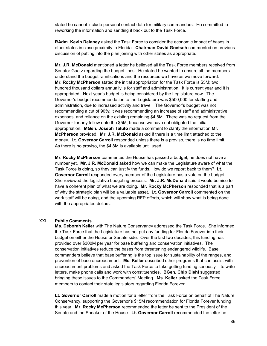stated he cannot include personal contact data for military commanders. He committed to reworking the information and sending it back out to the Task Force.

**RAdm. Kevin Delaney** asked the Task Force to consider the economic impact of bases in other states in close proximity to Florida. **Chairman David Goetsch** commented on previous discussion of putting into the plan joining with other states as appropriate.

**Mr. J.R. McDonald** mentioned a letter he believed all the Task Force members received from Senator Gaetz regarding the budget lines. He stated he wanted to ensure all the members understand the budget ramifications and the resources we have as we move forward. **Mr. Rocky McPherson** stated the initial appropriation for the Task Force is \$5M; two hundred thousand dollars annually is for staff and administration. It is current year and it is appropriated. Next year's budget is being considered by the Legislature now. The Governor's budget recommendation to the Legislature was \$500,000 for staffing and administration, due to increased activity and travel. The Governor's budget was not recommending a cut of 90%; it was recommending an increase of staff and administrative expenses, and reliance on the existing remaining \$4.8M. There was no request from the Governor for any follow onto the \$5M, because we have not obligated the initial appropriation. **MGen. Joseph Taluto** made a comment to clarify the information **Mr. McPherson** provided. **Mr. J.R. McDonald** asked if there is a time limit attached to the money. **Lt. Governor Carroll** responded unless there is a proviso, there is no time limit. As there is no proviso, the \$4.8M is available until used.

**Mr. Rocky McPherson** commented the House has passed a budget; he does not have a number yet. **Mr. J.R. McDonald** asked how we can make the Legislature aware of what the Task Force is doing, so they can justify the funds. How do we report back to them? **Lt. Governor Carroll** responded every member of the Legislature has a vote on the budget. She reviewed the legislative budgeting process. **Mr. J.R. McDonald** said it would be nice to have a coherent plan of what we are doing. **Mr. Rocky McPherson** responded that is a part of why the strategic plan will be a valuable asset. **Lt. Governor Carroll** commented on the work staff will be doing, and the upcoming RFP efforts, which will show what is being done with the appropriated dollars.

#### XXI. **Public Comments.**

**Ms. Deborah Keller** with The Nature Conservancy addressed the Task Force. She informed the Task Force that the Legislature has not put any funding for Florida Forever into their budget on either the House or Senate side. Over the last two decades, this funding has provided over \$300M per year for base buffering and conservation initiatives. The conservation initiatives reduce the bases from threatening endangered wildlife. Base commanders believe that base buffering is the top issue for sustainability of the ranges, and prevention of base encroachment. **Ms. Keller** described other programs that can assist with encroachment problems and asked the Task Force to take getting funding seriously – to write letters, make phone calls and work with constituencies. **BGen. Chip Diehl** suggested bringing these issues to the Commanders' Meeting. **Ms. Keller** asked the Task Force members to contact their state legislators regarding Florida Forever.

**Lt. Governor Carroll** made a motion for a letter from the Task Force on behalf of The Nature Conservancy, supporting the Governor's \$15M recommendation for Florida Forever funding this year. **Mr. Rocky McPherson** recommended the letter be sent to the President of the Senate and the Speaker of the House. **Lt. Governor Carroll** recommended the letter be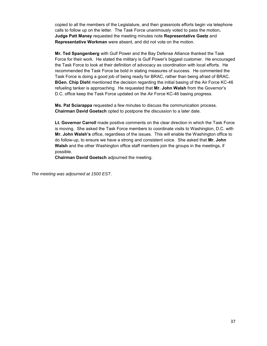copied to all the members of the Legislature, and then grassroots efforts begin via telephone calls to follow up on the letter. The Task Force unanimously voted to pass the motion**. Judge Patt Maney** requested the meeting minutes note **Representative Gaetz** and **Representative Workman** were absent, and did not vote on the motion.

**Mr. Ted Spangenberg** with Gulf Power and the Bay Defense Alliance thanked the Task Force for their work. He stated the military is Gulf Power's biggest customer. He encouraged the Task Force to look at their definition of advocacy as coordination with local efforts. He recommended the Task Force be bold in stating measures of success. He commented the Task Force is doing a good job of being ready for BRAC, rather than being afraid of BRAC. **BGen. Chip Diehl** mentioned the decision regarding the initial basing of the Air Force KC-46 refueling tanker is approaching. He requested that **Mr. John Walsh** from the Governor's D.C. office keep the Task Force updated on the Air Force KC-46 basing progress.

**Ms. Pat Sciarappa** requested a few minutes to discuss the communication process. **Chairman David Goetsch** opted to postpone the discussion to a later date.

**Lt. Governor Carroll** made positive comments on the clear direction in which the Task Force is moving. She asked the Task Force members to coordinate visits to Washington, D.C. with **Mr. John Walsh's** office, regardless of the issues. This will enable the Washington office to do follow-up, to ensure we have a strong and consistent voice. She asked that **Mr. John Walsh** and the other Washington office staff members join the groups in the meetings, if possible.

**Chairman David Goetsch** adjourned the meeting.

*The meeting was adjourned at 1500 EST*.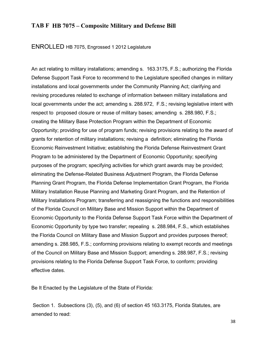# **TAB F HB 7075 – Composite Military and Defense Bill**

ENROLLED HB 7075, Engrossed 1 2012 Legislature

An act relating to military installations; amending s. 163.3175, F.S.; authorizing the Florida Defense Support Task Force to recommend to the Legislature specified changes in military installations and local governments under the Community Planning Act; clarifying and revising procedures related to exchange of information between military installations and local governments under the act; amending s. 288.972, F.S.; revising legislative intent with respect to proposed closure or reuse of military bases; amending s. 288.980, F.S.; creating the Military Base Protection Program within the Department of Economic Opportunity; providing for use of program funds; revising provisions relating to the award of grants for retention of military installations; revising a definition; eliminating the Florida Economic Reinvestment Initiative; establishing the Florida Defense Reinvestment Grant Program to be administered by the Department of Economic Opportunity; specifying purposes of the program; specifying activities for which grant awards may be provided; eliminating the Defense-Related Business Adjustment Program, the Florida Defense Planning Grant Program, the Florida Defense Implementation Grant Program, the Florida Military Installation Reuse Planning and Marketing Grant Program, and the Retention of Military Installations Program; transferring and reassigning the functions and responsibilities of the Florida Council on Military Base and Mission Support within the Department of Economic Opportunity to the Florida Defense Support Task Force within the Department of Economic Opportunity by type two transfer; repealing s. 288.984, F.S., which establishes the Florida Council on Military Base and Mission Support and provides purposes thereof; amending s. 288.985, F.S.; conforming provisions relating to exempt records and meetings of the Council on Military Base and Mission Support; amending s. 288.987, F.S.; revising provisions relating to the Florida Defense Support Task Force, to conform; providing effective dates.

Be It Enacted by the Legislature of the State of Florida:

 Section 1. Subsections (3), (5), and (6) of section 45 163.3175, Florida Statutes, are amended to read:

38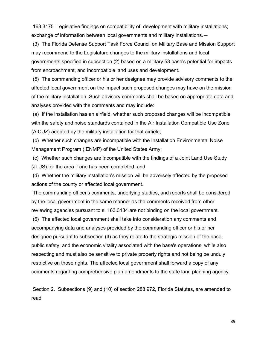163.3175 Legislative findings on compatibility of development with military installations; exchange of information between local governments and military installations.—

 (3) The Florida Defense Support Task Force Council on Military Base and Mission Support may recommend to the Legislature changes to the military installations and local governments specified in subsection (2) based on a military 53 base's potential for impacts from encroachment, and incompatible land uses and development.

 (5) The commanding officer or his or her designee may provide advisory comments to the affected local government on the impact such proposed changes may have on the mission of the military installation. Such advisory comments shall be based on appropriate data and analyses provided with the comments and may include:

 (a) If the installation has an airfield, whether such proposed changes will be incompatible with the safety and noise standards contained in the Air Installation Compatible Use Zone (AICUZ) adopted by the military installation for that airfield;

 (b) Whether such changes are incompatible with the Installation Environmental Noise Management Program (IENMP) of the United States Army;

 (c) Whether such changes are incompatible with the findings of a Joint Land Use Study (JLUS) for the area if one has been completed; and

 (d) Whether the military installation's mission will be adversely affected by the proposed actions of the county or affected local government.

 The commanding officer's comments, underlying studies, and reports shall be considered by the local government in the same manner as the comments received from other reviewing agencies pursuant to s. 163.3184 are not binding on the local government.

 (6) The affected local government shall take into consideration any comments and accompanying data and analyses provided by the commanding officer or his or her designee pursuant to subsection (4) as they relate to the strategic mission of the base, public safety, and the economic vitality associated with the base's operations, while also respecting and must also be sensitive to private property rights and not being be unduly restrictive on those rights. The affected local government shall forward a copy of any comments regarding comprehensive plan amendments to the state land planning agency.

 Section 2. Subsections (9) and (10) of section 288.972, Florida Statutes, are amended to read: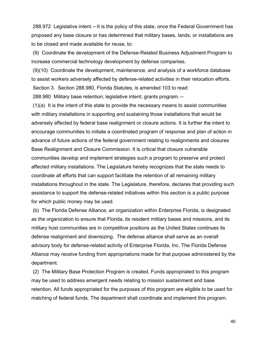288.972 Legislative intent.—It is the policy of this state, once the Federal Government has proposed any base closure or has determined that military bases, lands, or installations are to be closed and made available for reuse, to:

 (9) Coordinate the development of the Defense-Related Business Adjustment Program to increase commercial technology development by defense companies.

 (9)(10) Coordinate the development, maintenance, and analysis of a workforce database to assist workers adversely affected by defense-related activities in their relocation efforts. Section 3. Section 288.980, Florida Statutes, is amended 103 to read: 288.980 Military base retention; legislative intent; grants program.—

 (1)(a) It is the intent of this state to provide the necessary means to assist communities with military installations in supporting and sustaining those installations that would be adversely affected by federal base realignment or closure actions. It is further the intent to encourage communities to initiate a coordinated program of response and plan of action in advance of future actions of the federal government relating to realignments and closures Base Realignment and Closure Commission. It is critical that closure vulnerable communities develop and implement strategies such a program to preserve and protect affected military installations. The Legislature hereby recognizes that the state needs to coordinate all efforts that can support facilitate the retention of all remaining military installations throughout in the state. The Legislature, therefore, declares that providing such assistance to support the defense-related initiatives within this section is a public purpose for which public money may be used.

 (b) The Florida Defense Alliance, an organization within Enterprise Florida, is designated as the organization to ensure that Florida, its resident military bases and missions, and its military host communities are in competitive positions as the United States continues its defense realignment and downsizing. The defense alliance shall serve as an overall advisory body for defense-related activity of Enterprise Florida, Inc. The Florida Defense Alliance may receive funding from appropriations made for that purpose administered by the department.

 (2) The Military Base Protection Program is created. Funds appropriated to this program may be used to address emergent needs relating to mission sustainment and base retention. All funds appropriated for the purposes of this program are eligible to be used for matching of federal funds. The department shall coordinate and implement this program.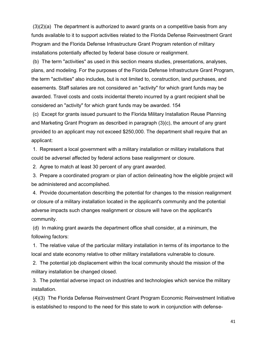(3)(2)(a) The department is authorized to award grants on a competitive basis from any funds available to it to support activities related to the Florida Defense Reinvestment Grant Program and the Florida Defense Infrastructure Grant Program retention of military installations potentially affected by federal base closure or realignment.

 (b) The term "activities" as used in this section means studies, presentations, analyses, plans, and modeling. For the purposes of the Florida Defense Infrastructure Grant Program, the term "activities" also includes, but is not limited to, construction, land purchases, and easements. Staff salaries are not considered an "activity" for which grant funds may be awarded. Travel costs and costs incidental thereto incurred by a grant recipient shall be considered an "activity" for which grant funds may be awarded. 154

 (c) Except for grants issued pursuant to the Florida Military Installation Reuse Planning and Marketing Grant Program as described in paragraph (3)(c), the amount of any grant provided to an applicant may not exceed \$250,000. The department shall require that an applicant:

 1. Represent a local government with a military installation or military installations that could be adversel affected by federal actions base realignment or closure.

2. Agree to match at least 30 percent of any grant awarded.

 3. Prepare a coordinated program or plan of action delineating how the eligible project will be administered and accomplished.

 4. Provide documentation describing the potential for changes to the mission realignment or closure of a military installation located in the applicant's community and the potential adverse impacts such changes realignment or closure will have on the applicant's community.

 (d) In making grant awards the department office shall consider, at a minimum, the following factors:

 1. The relative value of the particular military installation in terms of its importance to the local and state economy relative to other military installations vulnerable to closure.

 2. The potential job displacement within the local community should the mission of the military installation be changed closed.

 3. The potential adverse impact on industries and technologies which service the military installation.

 (4)(3) The Florida Defense Reinvestment Grant Program Economic Reinvestment Initiative is established to respond to the need for this state to work in conjunction with defense-

41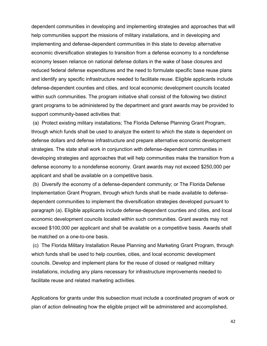dependent communities in developing and implementing strategies and approaches that will help communities support the missions of military installations, and in developing and implementing and defense-dependent communities in this state to develop alternative economic diversification strategies to transition from a defense economy to a nondefense economy lessen reliance on national defense dollars in the wake of base closures and reduced federal defense expenditures and the need to formulate specific base reuse plans and identify any specific infrastructure needed to facilitate reuse. Eligible applicants include defense-dependent counties and cities, and local economic development councils located within such communities. The program initiative shall consist of the following two distinct grant programs to be administered by the department and grant awards may be provided to support community-based activities that:

 (a) Protect existing military installations; The Florida Defense Planning Grant Program, through which funds shall be used to analyze the extent to which the state is dependent on defense dollars and defense infrastructure and prepare alternative economic development strategies. The state shall work in conjunction with defense-dependent communities in developing strategies and approaches that will help communities make the transition from a defense economy to a nondefense economy. Grant awards may not exceed \$250,000 per applicant and shall be available on a competitive basis.

 (b) Diversify the economy of a defense-dependent community; or The Florida Defense Implementation Grant Program, through which funds shall be made available to defensedependent communities to implement the diversification strategies developed pursuant to paragraph (a). Eligible applicants include defense-dependent counties and cities, and local economic development councils located within such communities. Grant awards may not exceed \$100,000 per applicant and shall be available on a competitive basis. Awards shall be matched on a one-to-one basis.

 (c) The Florida Military Installation Reuse Planning and Marketing Grant Program, through which funds shall be used to help counties, cities, and local economic development councils. Develop and implement plans for the reuse of closed or realigned military installations, including any plans necessary for infrastructure improvements needed to facilitate reuse and related marketing activities.

Applications for grants under this subsection must include a coordinated program of work or plan of action delineating how the eligible project will be administered and accomplished,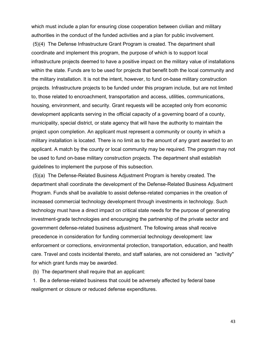which must include a plan for ensuring close cooperation between civilian and military authorities in the conduct of the funded activities and a plan for public involvement.

 (5)(4) The Defense Infrastructure Grant Program is created. The department shall coordinate and implement this program, the purpose of which is to support local infrastructure projects deemed to have a positive impact on the military value of installations within the state. Funds are to be used for projects that benefit both the local community and the military installation. It is not the intent, however, to fund on-base military construction projects. Infrastructure projects to be funded under this program include, but are not limited to, those related to encroachment, transportation and access, utilities, communications, housing, environment, and security. Grant requests will be accepted only from economic development applicants serving in the official capacity of a governing board of a county, municipality, special district, or state agency that will have the authority to maintain the project upon completion. An applicant must represent a community or county in which a military installation is located. There is no limit as to the amount of any grant awarded to an applicant. A match by the county or local community may be required. The program may not be used to fund on-base military construction projects. The department shall establish guidelines to implement the purpose of this subsection.

 (5)(a) The Defense-Related Business Adjustment Program is hereby created. The department shall coordinate the development of the Defense-Related Business Adjustment Program. Funds shall be available to assist defense-related companies in the creation of increased commercial technology development through investments in technology. Such technology must have a direct impact on critical state needs for the purpose of generating investment-grade technologies and encouraging the partnership of the private sector and government defense-related business adjustment. The following areas shall receive precedence in consideration for funding commercial technology development: law enforcement or corrections, environmental protection, transportation, education, and health care. Travel and costs incidental thereto, and staff salaries, are not considered an "activity" for which grant funds may be awarded.

(b) The department shall require that an applicant:

 1. Be a defense-related business that could be adversely affected by federal base realignment or closure or reduced defense expenditures.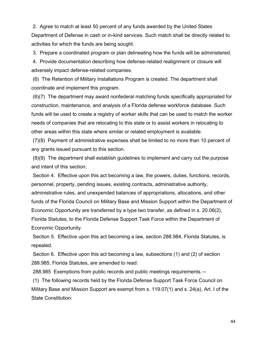2. Agree to match at least 50 percent of any funds awarded by the United States Department of Defense in cash or in-kind services. Such match shall be directly related to activities for which the funds are being sought.

3. Prepare a coordinated program or plan delineating how the funds will be administered.

 4. Provide documentation describing how defense-related realignment or closure will adversely impact defense-related companies.

 (6) The Retention of Military Installations Program is created. The department shall coordinate and implement this program.

 (6)(7) The department may award nonfederal matching funds specifically appropriated for construction, maintenance, and analysis of a Florida defense workforce database. Such funds will be used to create a registry of worker skills that can be used to match the worker needs of companies that are relocating to this state or to assist workers in relocating to other areas within this state where similar or related employment is available.

 (7)(8) Payment of administrative expenses shall be limited to no more than 10 percent of any grants issued pursuant to this section.

 (8)(9) The department shall establish guidelines to implement and carry out the purpose and intent of this section.

 Section 4. Effective upon this act becoming a law, the powers, duties, functions, records, personnel, property, pending issues, existing contracts, administrative authority, administrative rules, and unexpended balances of appropriations, allocations, and other funds of the Florida Council on Military Base and Mission Support within the Department of Economic Opportunity are transferred by a type two transfer, as defined in s. 20.06(2), Florida Statutes, to the Florida Defense Support Task Force within the Department of Economic Opportunity.

 Section 5. Effective upon this act becoming a law, section 288.984, Florida Statutes, is repealed.

 Section 6. Effective upon this act becoming a law, subsections (1) and (2) of section 288.985, Florida Statutes, are amended to read:

288.985 Exemptions from public records and public meetings requirements.—

 (1) The following records held by the Florida Defense Support Task Force Council on Military Base and Mission Support are exempt from s. 119.07(1) and s. 24(a), Art. I of the State Constitution: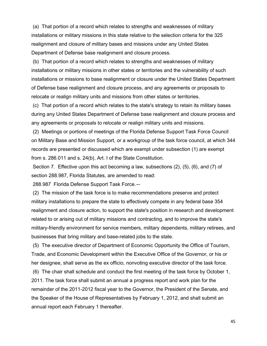(a) That portion of a record which relates to strengths and weaknesses of military installations or military missions in this state relative to the selection criteria for the 325 realignment and closure of military bases and missions under any United States Department of Defense base realignment and closure process.

 (b) That portion of a record which relates to strengths and weaknesses of military installations or military missions in other states or territories and the vulnerability of such installations or missions to base realignment or closure under the United States Department of Defense base realignment and closure process, and any agreements or proposals to relocate or realign military units and missions from other states or territories.

 (c) That portion of a record which relates to the state's strategy to retain its military bases during any United States Department of Defense base realignment and closure process and any agreements or proposals to relocate or realign military units and missions.

 (2) Meetings or portions of meetings of the Florida Defense Support Task Force Council on Military Base and Mission Support, or a workgroup of the task force council, at which 344 records are presented or discussed which are exempt under subsection (1) are exempt from s. 286.011 and s. 24(b), Art. I of the State Constitution.

 Section 7. Effective upon this act becoming a law, subsections (2), (5), (6), and (7) of section 288.987, Florida Statutes, are amended to read:

288.987 Florida Defense Support Task Force.—

 (2) The mission of the task force is to make recommendations preserve and protect military installations to prepare the state to effectively compete in any federal base 354 realignment and closure action, to support the state's position in research and development related to or arising out of military missions and contracting, and to improve the state's military-friendly environment for service members, military dependents, military retirees, and businesses that bring military and base-related jobs to the state.

 (5) The executive director of Department of Economic Opportunity the Office of Tourism, Trade, and Economic Development within the Executive Office of the Governor, or his or her designee, shall serve as the ex officio, nonvoting executive director of the task force.

 (6) The chair shall schedule and conduct the first meeting of the task force by October 1, 2011. The task force shall submit an annual a progress report and work plan for the remainder of the 2011-2012 fiscal year to the Governor, the President of the Senate, and the Speaker of the House of Representatives by February 1, 2012, and shall submit an annual report each February 1 thereafter.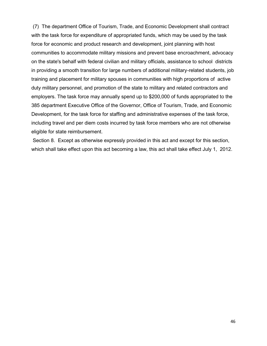(7) The department Office of Tourism, Trade, and Economic Development shall contract with the task force for expenditure of appropriated funds, which may be used by the task force for economic and product research and development, joint planning with host communities to accommodate military missions and prevent base encroachment, advocacy on the state's behalf with federal civilian and military officials, assistance to school districts in providing a smooth transition for large numbers of additional military-related students, job training and placement for military spouses in communities with high proportions of active duty military personnel, and promotion of the state to military and related contractors and employers. The task force may annually spend up to \$200,000 of funds appropriated to the 385 department Executive Office of the Governor, Office of Tourism, Trade, and Economic Development, for the task force for staffing and administrative expenses of the task force, including travel and per diem costs incurred by task force members who are not otherwise eligible for state reimbursement.

 Section 8. Except as otherwise expressly provided in this act and except for this section, which shall take effect upon this act becoming a law, this act shall take effect July 1, 2012.